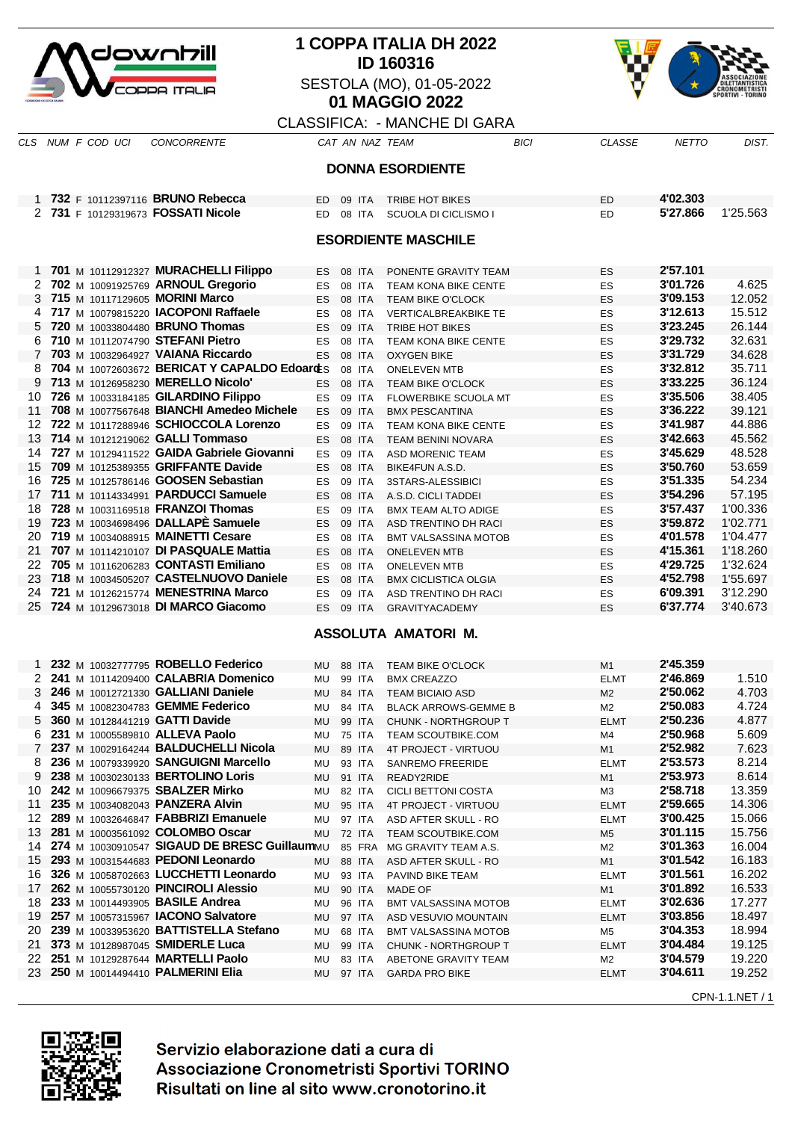

# **1 COPPA ITALIA DH 2022 ID 160316** SESTOLA (MO), 01-05-2022 **01 MAGGIO 2022**



## CLASSIFICA: - MANCHE DI GARA CLS NUM F COD UCI CONCORRENTE CAT AN NAZ TEAM BICI CLASSE NETTO DIST.

|          | <b>DONNA ESORDIENTE</b>                                 |                                              |           |  |                  |                                                |                               |                      |                  |  |  |
|----------|---------------------------------------------------------|----------------------------------------------|-----------|--|------------------|------------------------------------------------|-------------------------------|----------------------|------------------|--|--|
|          | 4'02.303<br>1 732 F 10112397116 BRUNO Rebecca<br>09 ITA |                                              |           |  |                  |                                                |                               |                      |                  |  |  |
|          | 2 731 F 10129319673 FOSSATI Nicole                      |                                              | ED.<br>ED |  | 08 ITA           | <b>TRIBE HOT BIKES</b><br>SCUOLA DI CICLISMO I | ED<br>ED                      | 5'27.866             | 1'25.563         |  |  |
|          |                                                         |                                              |           |  |                  |                                                |                               |                      |                  |  |  |
|          |                                                         |                                              |           |  |                  | <b>ESORDIENTE MASCHILE</b>                     |                               |                      |                  |  |  |
|          |                                                         |                                              |           |  |                  |                                                |                               |                      |                  |  |  |
|          |                                                         | 1 701 M 10112912327 MURACHELLI Filippo       | ES.       |  | 08 ITA           | PONENTE GRAVITY TEAM                           | ES                            | 2'57.101             |                  |  |  |
|          | 2 702 M 10091925769 ARNOUL Gregorio                     |                                              | ES        |  | 08 ITA           | TEAM KONA BIKE CENTE                           | ES                            | 3'01.726             | 4.625            |  |  |
|          | 3 715 M 10117129605 MORINI Marco                        |                                              | ES        |  | 08 ITA           | <b>TEAM BIKE O'CLOCK</b>                       | ES                            | 3'09.153             | 12.052           |  |  |
|          |                                                         | 717 M 10079815220 IACOPONI Raffaele          | <b>ES</b> |  | 08 ITA           | <b>VERTICALBREAKBIKE TE</b>                    | ES                            | 3'12.613             | 15.512           |  |  |
| 5        | 720 M 10033804480 BRUNO Thomas                          |                                              | <b>ES</b> |  | 09 ITA           | TRIBE HOT BIKES                                | ES                            | 3'23.245             | 26.144           |  |  |
| 6        | 710 M 10112074790 STEFANI Pietro                        |                                              | ES        |  | 08 ITA           | <b>TEAM KONA BIKE CENTE</b>                    | ES                            | 3'29.732             | 32.631           |  |  |
| 7        | 703 M 10032964927 VAIANA Riccardo                       |                                              | ES        |  | 08 ITA           | <b>OXYGEN BIKE</b>                             | ES                            | 3'31.729             | 34.628           |  |  |
| 8        |                                                         | 704 M 10072603672 BERICAT Y CAPALDO EdoardES |           |  | 08 ITA           | <b>ONELEVEN MTB</b>                            | ES                            | 3'32.812             | 35.711           |  |  |
| 9        | 713 M 10126958230 MERELLO Nicolo'                       |                                              | <b>ES</b> |  | 08 ITA           | <b>TEAM BIKE O'CLOCK</b>                       | ES                            | 3'33.225             | 36.124           |  |  |
| 10       |                                                         | 726 M 10033184185 GILARDINO Filippo          | ES        |  | 09 ITA           | <b>FLOWERBIKE SCUOLA MT</b>                    | ES                            | 3'35.506             | 38.405           |  |  |
| 11       |                                                         | 708 M 10077567648 BIANCHI Amedeo Michele     | ES        |  | 09 ITA           | <b>BMX PESCANTINA</b>                          | ES                            | 3'36.222             | 39.121           |  |  |
|          |                                                         | 12 722 M 10117288946 SCHIOCCOLA Lorenzo      | <b>ES</b> |  | 09 ITA           | <b>TEAM KONA BIKE CENTE</b>                    | ES                            | 3'41.987             | 44.886           |  |  |
| 13       | 714 M 10121219062 GALLI Tommaso                         | 14 727 M 10129411522 GAIDA Gabriele Giovanni | ES        |  | 08 ITA           | <b>TEAM BENINI NOVARA</b>                      | ES                            | 3'42.663<br>3'45.629 | 45.562<br>48.528 |  |  |
| 15       |                                                         | 709 M 10125389355 GRIFFANTE Davide           | ES        |  | 09 ITA           | ASD MORENIC TEAM                               | ES                            | 3'50.760             | 53.659           |  |  |
|          |                                                         | 16 725 M 10125786146 GOOSEN Sebastian        | ES<br>ES  |  | 08 ITA<br>09 ITA | BIKE4FUN A.S.D.<br>3STARS-ALESSIBICI           | ES<br>ES                      | 3'51.335             | 54.234           |  |  |
| 17       |                                                         | 711 M 10114334991 PARDUCCI Samuele           | <b>ES</b> |  | 08 ITA           | A.S.D. CICLI TADDEI                            | ES                            | 3'54.296             | 57.195           |  |  |
| 18       | 728 M 10031169518 FRANZOI Thomas                        |                                              | ES        |  | 09 ITA           | <b>BMX TEAM ALTO ADIGE</b>                     | ES                            | 3'57.437             | 1'00.336         |  |  |
|          |                                                         | 19 723 M 10034698496 DALLAPE Samuele         | ES        |  | 09 ITA           | ASD TRENTINO DH RACI                           | ES                            | 3'59.872             | 1'02.771         |  |  |
|          | 20 719 M 10034088915 MAINETTI Cesare                    |                                              | ES        |  | 08 ITA           | <b>BMT VALSASSINA MOTOB</b>                    | ES                            | 4'01.578             | 1'04.477         |  |  |
| 21       |                                                         | 707 M 10114210107 DI PASQUALE Mattia         | ES        |  | 08 ITA           | <b>ONELEVEN MTB</b>                            | ES                            | 4'15.361             | 1'18.260         |  |  |
| 22       |                                                         | 705 M 10116206283 CONTASTI Emiliano          | ES        |  | 08 ITA           | <b>ONELEVEN MTB</b>                            | ES                            | 4'29.725             | 1'32.624         |  |  |
|          |                                                         | 23 718 M 10034505207 CASTELNUOVO Daniele     | ES        |  | 08 ITA           | <b>BMX CICLISTICA OLGIA</b>                    | ES                            | 4'52.798             | 1'55.697         |  |  |
|          |                                                         | 24 721 M 10126215774 MENESTRINA Marco        | ES        |  | 09 ITA           | ASD TRENTINO DH RACI                           | ES                            | 6'09.391             | 3'12.290         |  |  |
| 25       |                                                         | 724 M 10129673018 DI MARCO Giacomo           | <b>ES</b> |  | 09 ITA           | <b>GRAVITYACADEMY</b>                          | ES                            | 6'37.774             | 3'40.673         |  |  |
|          |                                                         |                                              |           |  |                  | ASSOLUTA AMATORI M.                            |                               |                      |                  |  |  |
|          |                                                         |                                              |           |  |                  |                                                |                               |                      |                  |  |  |
| 1        |                                                         | 232 M 10032777795 ROBELLO Federico           | MU        |  | <b>88 ITA</b>    | <b>TEAM BIKE O'CLOCK</b>                       | M1                            | 2'45.359             |                  |  |  |
|          |                                                         | 2 241 M 10114209400 CALABRIA Domenico        | MU        |  | 99 ITA           | <b>BMX CREAZZO</b>                             | <b>ELMT</b>                   | 2'46.869             | 1.510            |  |  |
| 3        | 246 M 10012721330 GALLIANI Daniele                      |                                              | MU        |  | 84 ITA           | <b>TEAM BICIAIO ASD</b>                        | M <sub>2</sub>                | 2'50.062             | 4.703            |  |  |
| 4        | 345 M 10082304783 GEMME Federico                        |                                              | MU        |  | 84 ITA           | <b>BLACK ARROWS-GEMME B</b>                    | M2                            | 2'50.083             | 4.724            |  |  |
| 5        | 360 M 10128441219 GATTI Davide                          |                                              | MU        |  | 99 ITA           | <b>CHUNK - NORTHGROUP T</b>                    | <b>ELMT</b>                   | 2'50.236             | 4.877            |  |  |
| 6        | 231 M 10005589810 ALLEVA Paolo                          |                                              | MU        |  | <b>75 ITA</b>    | <b>TEAM SCOUTBIKE.COM</b>                      | M4                            | 2'50.968             | 5.609            |  |  |
| 7        |                                                         | 237 M 10029164244 BALDUCHELLI Nicola         | MU        |  | 89 ITA           | 4T PROJECT - VIRTUOU                           | M1                            | 2'52.982             | 7.623            |  |  |
| 8        |                                                         | 236 M 10079339920 SANGUIGNI Marcello         | MU        |  | 93 ITA           | <b>SANREMO FREERIDE</b>                        | <b>ELMT</b>                   | 2'53.573             | 8.214            |  |  |
| 9        | 238 M 10030230133 BERTOLINO Loris                       |                                              | MU        |  | 91 ITA           | READY2RIDE                                     | M <sub>1</sub>                | 2'53.973             | 8.614            |  |  |
|          | 10 242 M 10096679375 SBALZER Mirko                      |                                              | MU        |  | 82 ITA           | <b>CICLI BETTONI COSTA</b>                     | MЗ                            | 2'58.718             | 13.359           |  |  |
| 11       | 235 M 10034082043 PANZERA Alvin                         |                                              | MU        |  | 95 ITA           | 4T PROJECT - VIRTUOU                           | ELMT                          | 2'59.665             | 14.306<br>15.066 |  |  |
|          |                                                         | 12 289 M 10032646847 FABBRIZI Emanuele       | MU        |  | 97 ITA           | ASD AFTER SKULL - RO                           | <b>ELMT</b>                   | 3'00.425             |                  |  |  |
| 13<br>14 | 281 M 10003561092 COLOMBO Oscar                         | 274 M 10030910547 SIGAUD DE BRESC GuillaumMU | MU        |  | <b>72 ITA</b>    | <b>TEAM SCOUTBIKE.COM</b>                      | M <sub>5</sub>                | 3'01.115<br>3'01.363 | 15.756<br>16.004 |  |  |
| 15       |                                                         | 293 M 10031544683 PEDONI Leonardo            | MU        |  | 88 ITA           | 85 FRA MG GRAVITY TEAM A.S.                    | M2                            | 3'01.542             | 16.183           |  |  |
|          |                                                         | 16 326 M 10058702663 LUCCHETTI Leonardo      |           |  | 93 ITA           | ASD AFTER SKULL - RO<br>PAVIND BIKE TEAM       | M1                            | 3'01.561             | 16.202           |  |  |
| 17       |                                                         | 262 M 10055730120 PINCIROLI Alessio          | MU<br>MU  |  | 90 ITA           | <b>MADE OF</b>                                 | <b>ELMT</b><br>M <sub>1</sub> | 3'01.892             | 16.533           |  |  |
|          | 18 233 M 10014493905 BASILE Andrea                      |                                              | MU        |  | 96 ITA           | <b>BMT VALSASSINA MOTOB</b>                    | <b>ELMT</b>                   | 3'02.636             | 17.277           |  |  |
|          | 19 257 M 10057315967 IACONO Salvatore                   |                                              | MU        |  | 97 ITA           | ASD VESUVIO MOUNTAIN                           | ELMT                          | 3'03.856             | 18.497           |  |  |
|          |                                                         | 20 239 M 10033953620 BATTISTELLA Stefano     | MU        |  | 68 ITA           | <b>BMT VALSASSINA MOTOB</b>                    | M5                            | 3'04.353             | 18.994           |  |  |
| 21       | 373 M 10128987045 SMIDERLE Luca                         |                                              | MU        |  | 99 ITA           | CHUNK - NORTHGROUP T                           | <b>ELMT</b>                   | 3'04.484             | 19.125           |  |  |
|          | 22 251 M 10129287644 MARTELLI Paolo                     |                                              | MU        |  | 83 ITA           | ABETONE GRAVITY TEAM                           | M2                            | 3'04.579             | 19.220           |  |  |
|          | 23 250 M 10014494410 PALMERINI Elia                     |                                              | MU        |  | 97 ITA           | <b>GARDA PRO BIKE</b>                          | <b>ELMT</b>                   | 3'04.611             | 19.252           |  |  |
|          |                                                         |                                              |           |  |                  |                                                |                               |                      | CPN-1.1.NET / 1  |  |  |

Servizio elaborazione dati a cura di Associazione Cronometristi Sportivi TORINO Risultati on line al sito www.cronotorino.it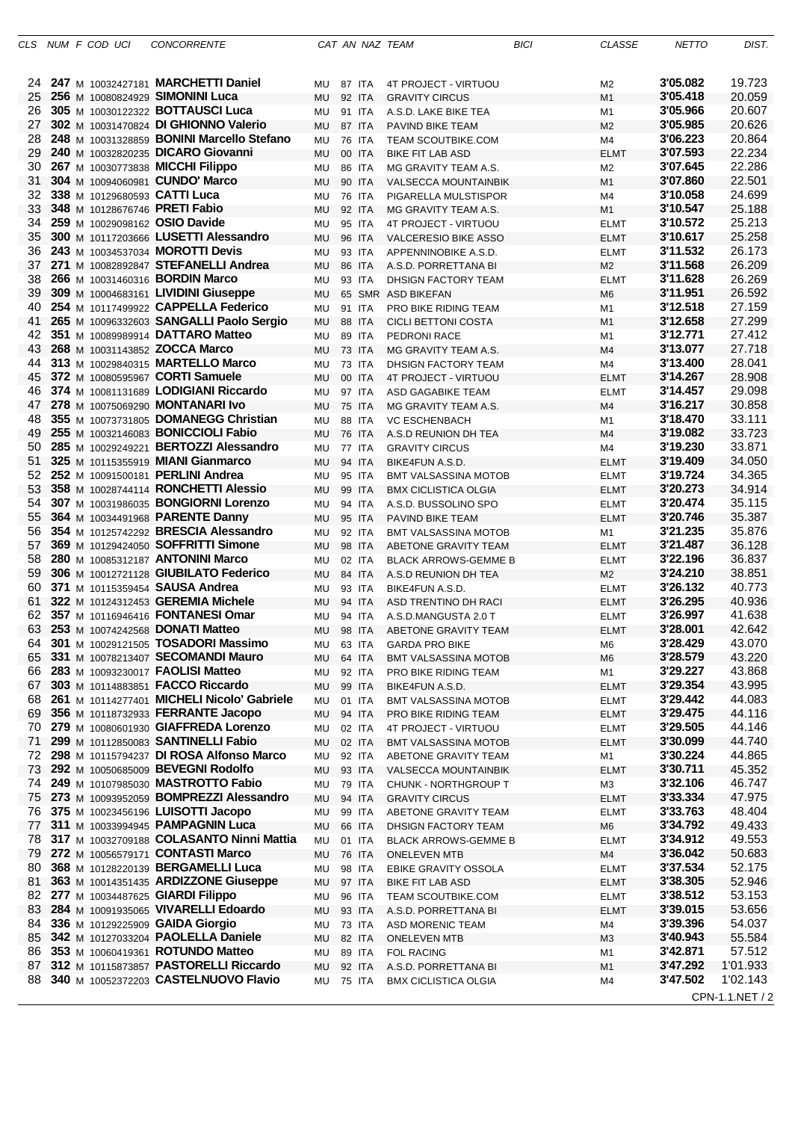| CLS. |  | NUM F COD UCI | <b>CONCORRENTE</b>                         |                  |               | CAT AN NAZ TEAM             | BICI | <b>CLASSE</b>  | <b>NETTO</b> | DIST.           |
|------|--|---------------|--------------------------------------------|------------------|---------------|-----------------------------|------|----------------|--------------|-----------------|
|      |  |               |                                            |                  |               |                             |      |                |              |                 |
| 24.  |  |               | 247 M 10032427181 MARCHETTI Daniel         | <b>MU 87 ITA</b> |               | 4T PROJECT - VIRTUOU        |      | M <sub>2</sub> | 3'05.082     | 19.723          |
| 25   |  |               | 256 M 10080824929 SIMONINI Luca            | MU               | 92 ITA        | <b>GRAVITY CIRCUS</b>       |      | M <sub>1</sub> | 3'05.418     | 20.059          |
| 26   |  |               | 305 M 10030122322 <b>BOTTAUSCI Luca</b>    | MU               | 91 ITA        | A.S.D. LAKE BIKE TEA        |      | M1             | 3'05.966     | 20.607          |
| 27   |  |               | 302 M 10031470824 DI GHIONNO Valerio       | MU               | 87 ITA        | PAVIND BIKE TEAM            |      | M <sub>2</sub> | 3'05.985     | 20.626          |
| 28   |  |               | 248 M 10031328859 BONINI Marcello Stefano  | MU               | <b>76 ITA</b> | <b>TEAM SCOUTBIKE.COM</b>   |      | M4             | 3'06.223     | 20.864          |
| 29   |  |               | 240 M 10032820235 DICARO Giovanni          | MU               | 00 ITA        | <b>BIKE FIT LAB ASD</b>     |      | <b>ELMT</b>    | 3'07.593     | 22.234          |
| 30   |  |               | 267 M 10030773838 MICCHI Filippo           | MU               | 86 ITA        | MG GRAVITY TEAM A.S.        |      | M <sub>2</sub> | 3'07.645     | 22.286          |
| 31   |  |               | 304 M 10094060981 CUNDO' Marco             | MU               | 90 ITA        | <b>VALSECCA MOUNTAINBIK</b> |      | M <sub>1</sub> | 3'07.860     | 22.501          |
| 32   |  |               | 338 M 10129680593 CATTI Luca               | MU               | 76 ITA        | PIGARELLA MULSTISPOR        |      | M4             | 3'10.058     | 24.699          |
| 33   |  |               | 348 M 10128676746 PRETI Fabio              | MU               | 92 ITA        | MG GRAVITY TEAM A.S.        |      | M <sub>1</sub> | 3'10.547     | 25.188          |
| 34   |  |               | 259 M 10029098162 OSIO Davide              | MU               | 95 ITA        | 4T PROJECT - VIRTUOU        |      | ELMT           | 3'10.572     | 25.213          |
| 35   |  |               | 300 M 10117203666 LUSETTI Alessandro       | MU               | 96 ITA        | VALCERESIO BIKE ASSO        |      | ELMT           | 3'10.617     | 25.258          |
| 36   |  |               | 243 M 10034537034 MOROTTI Devis            | MU               | 93 ITA        | APPENNINOBIKE A.S.D.        |      | <b>ELMT</b>    | 3'11.532     | 26.173          |
| 37   |  |               | 271 M 10082892847 STEFANELLI Andrea        | MU               | 86 ITA        | A.S.D. PORRETTANA BI        |      | M <sub>2</sub> | 3'11.568     | 26.209          |
| 38   |  |               | 266 M 10031460316 <b>BORDIN Marco</b>      | MU               | 93 ITA        | DHSIGN FACTORY TEAM         |      | <b>ELMT</b>    | 3'11.628     | 26.269          |
| 39   |  |               | 309 M 10004683161 LIVIDINI Giuseppe        | MU               |               | 65 SMR ASD BIKEFAN          |      | M <sub>6</sub> | 3'11.951     | 26.592          |
| 40   |  |               | 254 M 10117499922 CAPPELLA Federico        | MU               | 91 ITA        | PRO BIKE RIDING TEAM        |      | M <sub>1</sub> | 3'12.518     | 27.159          |
| 41   |  |               | 265 M 10096332603 SANGALLI Paolo Sergio    | MU               | 88 ITA        | CICLI BETTONI COSTA         |      | M <sub>1</sub> | 3'12.658     | 27.299          |
| 42   |  |               | 351 M 10089989914 DATTARO Matteo           | MU               | 89 ITA        | PEDRONI RACE                |      | M1             | 3'12.771     | 27.412          |
| 43   |  |               | 268 M 10031143852 ZOCCA Marco              | <b>MU</b>        | 73 ITA        | MG GRAVITY TEAM A.S.        |      | M <sub>4</sub> | 3'13.077     | 27.718          |
| 44   |  |               | 313 M 10029840315 MARTELLO Marco           | MU               | 73 ITA        | DHSIGN FACTORY TEAM         |      | M4             | 3'13.400     | 28.041          |
| 45   |  |               | 372 M 10080595967 CORTI Samuele            | <b>MU</b>        | 00 ITA        | 4T PROJECT - VIRTUOU        |      | <b>ELMT</b>    | 3'14.267     | 28.908          |
| 46   |  |               | 374 M 10081131689 LODIGIANI Riccardo       | <b>MU</b>        | 97 ITA        | ASD GAGABIKE TEAM           |      | <b>ELMT</b>    | 3'14.457     | 29.098          |
| 47   |  |               | 278 M 10075069290 MONTANARI Ivo            | <b>MU</b>        | <b>75 ITA</b> | MG GRAVITY TEAM A.S.        |      | M <sub>4</sub> | 3'16.217     | 30.858          |
| 48   |  |               | 355 M 10073731805 DOMANEGG Christian       | MU               | 88 ITA        | <b>VC ESCHENBACH</b>        |      | M1             | 3'18.470     | 33.111          |
| 49   |  |               | 255 M 10032146083 BONICCIOLI Fabio         | <b>MU</b>        | 76 ITA        | A.S.D REUNION DH TEA        |      | M4             | 3'19.082     | 33.723          |
| 50   |  |               | 285 M 10029249221 BERTOZZI Alessandro      | MU               | 77 ITA        | <b>GRAVITY CIRCUS</b>       |      | M4             | 3'19.230     | 33.871          |
| 51   |  |               | 325 M 10115355919 MIANI Gianmarco          | <b>MU</b>        | 94 ITA        | BIKE4FUN A.S.D.             |      | <b>ELMT</b>    | 3'19.409     | 34.050          |
| 52   |  |               | 252 M 10091500181 PERLINI Andrea           | <b>MU</b>        | 95 ITA        | <b>BMT VALSASSINA MOTOB</b> |      | <b>ELMT</b>    | 3'19.724     | 34.365          |
| 53   |  |               | 358 M 10028744114 RONCHETTI Alessio        | <b>MU</b>        | 99 ITA        | <b>BMX CICLISTICA OLGIA</b> |      | <b>ELMT</b>    | 3'20.273     | 34.914          |
| 54   |  |               | 307 M 10031986035 BONGIORNI Lorenzo        | MU               | 94 ITA        | A.S.D. BUSSOLINO SPO        |      | ELMT           | 3'20.474     | 35.115          |
| 55   |  |               | 364 M 10034491968 PARENTE Danny            | <b>MU</b>        | 95 ITA        | PAVIND BIKE TEAM            |      | <b>ELMT</b>    | 3'20.746     | 35.387          |
| 56   |  |               | 354 M 10125742292 BRESCIA Alessandro       | MU               | 92 ITA        | <b>BMT VALSASSINA MOTOB</b> |      | M <sub>1</sub> | 3'21.235     | 35.876          |
| 57   |  |               | 369 M 10129424050 SOFFRITTI Simone         | <b>MU</b>        | 98 ITA        | ABETONE GRAVITY TEAM        |      | <b>ELMT</b>    | 3'21.487     | 36.128          |
| 58   |  |               | 280 M 10085312187 ANTONINI Marco           | MU               | 02 ITA        | <b>BLACK ARROWS-GEMME B</b> |      | <b>ELMT</b>    | 3'22.196     | 36.837          |
| 59   |  |               | 306 M 10012721128 GIUBILATO Federico       | <b>MU</b>        | 84 ITA        | A.S.D REUNION DH TEA        |      | M <sub>2</sub> | 3'24.210     | 38.851          |
| 60   |  |               | 371 M 10115359454 SAUSA Andrea             | MU               | 93 ITA        | BIKE4FUN A.S.D.             |      | ELMT           | 3'26.132     | 40.773          |
| 61   |  |               | 322 M 10124312453 GEREMIA Michele          | MU               | 94 ITA        | ASD TRENTINO DH RACI        |      | <b>ELMT</b>    | 3'26.295     | 40.936          |
| 62   |  |               | 357 M 10116946416 FONTANESI Omar           | MU               | 94 ITA        | A.S.D.MANGUSTA 2.0 T        |      | <b>ELMT</b>    | 3'26.997     | 41.638          |
| 63   |  |               | 253 M 10074242568 DONATI Matteo            | MU               | 98 ITA        | ABETONE GRAVITY TEAM        |      | <b>ELMT</b>    | 3'28.001     | 42.642          |
| 64   |  |               | 301 M 10029121505 TOSADORI Massimo         | MU               | 63 ITA        | <b>GARDA PRO BIKE</b>       |      | M6             | 3'28.429     | 43.070          |
| 65   |  |               | 331 M 10078213407 SECOMANDI Mauro          | MU               | 64 ITA        | <b>BMT VALSASSINA MOTOB</b> |      | M <sub>6</sub> | 3'28.579     | 43.220          |
| 66   |  |               | 283 M 10093230017 FAOLISI Matteo           | MU               | 92 ITA        | PRO BIKE RIDING TEAM        |      | M1             | 3'29.227     | 43.868          |
| 67   |  |               | 303 M 10114883851 FACCO Riccardo           | MU               | 99 ITA        | BIKE4FUN A.S.D.             |      | <b>ELMT</b>    | 3'29.354     | 43.995          |
| 68   |  |               | 261 M 10114277401 MICHELI Nicolo' Gabriele | MU               | 01 ITA        | <b>BMT VALSASSINA MOTOB</b> |      | ELMT           | 3'29.442     | 44.083          |
| 69   |  |               | 356 M 10118732933 FERRANTE Jacopo          | MU               | 94 ITA        | PRO BIKE RIDING TEAM        |      | <b>ELMT</b>    | 3'29.475     | 44.116          |
| 70   |  |               | 279 M 10080601930 GIAFFREDA Lorenzo        | MU               | 02 ITA        | 4T PROJECT - VIRTUOU        |      | ELMT           | 3'29.505     | 44.146          |
| 71   |  |               | 299 M 10112850083 SANTINELLI Fabio         | MU               | 02 ITA        | <b>BMT VALSASSINA MOTOB</b> |      | <b>ELMT</b>    | 3'30.099     | 44.740          |
| 72   |  |               | 298 M 10115794237 DI ROSA Alfonso Marco    | MU               | 92 ITA        | ABETONE GRAVITY TEAM        |      | M1             | 3'30.224     | 44.865          |
| 73   |  |               | 292 M 10050685009 BEVEGNI Rodolfo          | MU               | 93 ITA        | <b>VALSECCA MOUNTAINBIK</b> |      | <b>ELMT</b>    | 3'30.711     | 45.352          |
| 74   |  |               | 249 M 10107985030 MASTROTTO Fabio          | MU               | <b>79 ITA</b> | CHUNK - NORTHGROUP T        |      | ΜЗ             | 3'32.106     | 46.747          |
| 75   |  |               | 273 M 10093952059 BOMPREZZI Alessandro     | MU               | 94 ITA        | <b>GRAVITY CIRCUS</b>       |      | <b>ELMT</b>    | 3'33.334     | 47.975          |
| 76   |  |               | 375 M 10023456196 LUISOTTI Jacopo          | MU               | 99 ITA        | ABETONE GRAVITY TEAM        |      | ELMT           | 3'33.763     | 48.404          |
| 77   |  |               | 311 M 10033994945 PAMPAGNIN Luca           | MU               | 66 ITA        | DHSIGN FACTORY TEAM         |      | M <sub>6</sub> | 3'34.792     | 49.433          |
| 78   |  |               | 317 M 10032709188 COLASANTO Ninni Mattia   | MU               | 01 ITA        | <b>BLACK ARROWS-GEMME B</b> |      | ELMT           | 3'34.912     | 49.553          |
| 79   |  |               | 272 M 10056579171 CONTASTI Marco           | MU               | 76 ITA        | <b>ONELEVEN MTB</b>         |      | M4             | 3'36.042     | 50.683          |
| 80   |  |               | 368 M 10128220139 BERGAMELLI Luca          | MU               | 98 ITA        | EBIKE GRAVITY OSSOLA        |      | ELMT           | 3'37.534     | 52.175          |
| 81   |  |               | 363 M 10014351435 ARDIZZONE Giuseppe       | MU               | 97 ITA        | <b>BIKE FIT LAB ASD</b>     |      | ELMT           | 3'38.305     | 52.946          |
| 82   |  |               | 277 M 10034487625 GIARDI Filippo           | MU               | 96 ITA        | TEAM SCOUTBIKE.COM          |      | <b>ELMT</b>    | 3'38.512     | 53.153          |
| 83   |  |               | 284 M 10091935065 VIVARELLI Edoardo        | MU               | 93 ITA        | A.S.D. PORRETTANA BI        |      | <b>ELMT</b>    | 3'39.015     | 53.656          |
| 84   |  |               | 336 M 10129225909 GAIDA Giorgio            | MU               | 73 ITA        | ASD MORENIC TEAM            |      | M4             | 3'39.396     | 54.037          |
| 85   |  |               | 342 M 10127033204 PAOLELLA Daniele         | MU               | 82 ITA        | <b>ONELEVEN MTB</b>         |      | M <sub>3</sub> | 3'40.943     | 55.584          |
| 86   |  |               | 353 M 10060419361 ROTUNDO Matteo           | MU               | 89 ITA        | <b>FOL RACING</b>           |      | M1             | 3'42.871     | 57.512          |
| 87   |  |               | 312 M 10115873857 PASTORELLI Riccardo      | MU               | 92 ITA        | A.S.D. PORRETTANA BI        |      | M <sub>1</sub> | 3'47.292     | 1'01.933        |
| 88   |  |               | 340 M 10052372203 CASTELNUOVO Flavio       | MU               | 75 ITA        | <b>BMX CICLISTICA OLGIA</b> |      | M4             | 3'47.502     | 1'02.143        |
|      |  |               |                                            |                  |               |                             |      |                |              | CPN-1.1.NET / 2 |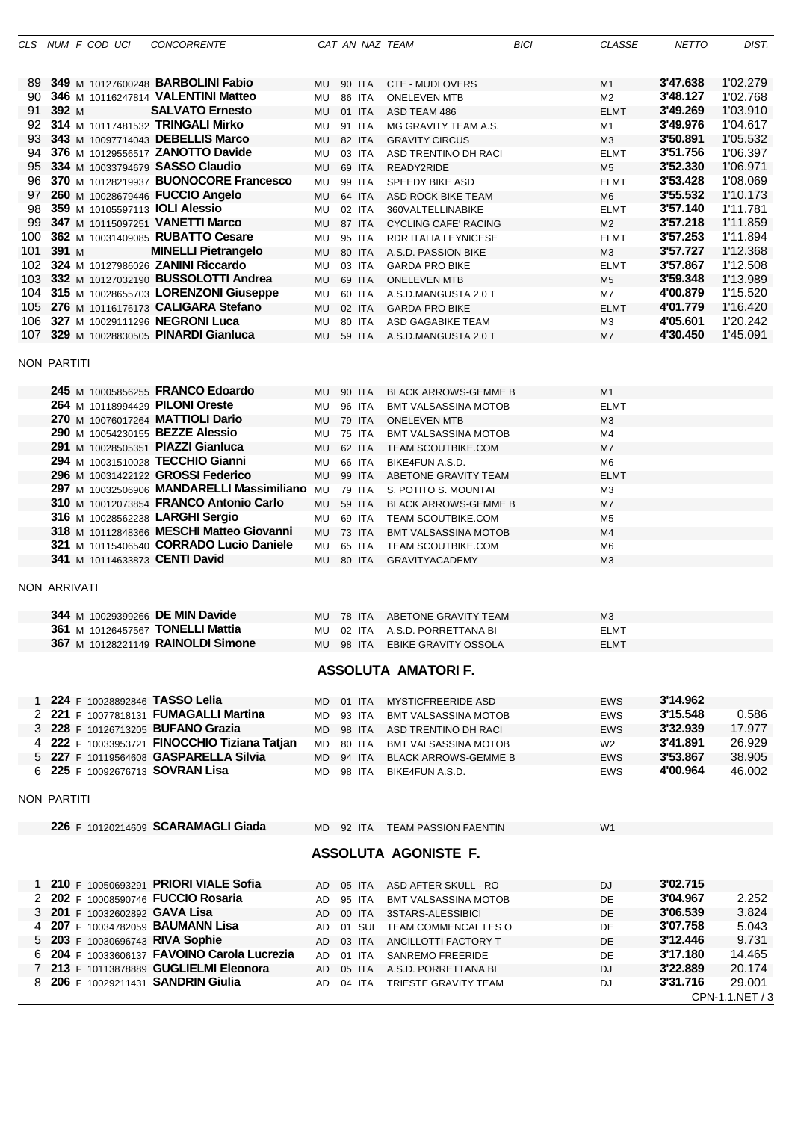|              |       | CLS NUM F COD UCI | <b>CONCORRENTE</b>                             |           |        |        | CAT AN NAZ TEAM                | <b>BICI</b> | <b>CLASSE</b>  | <b>NETTO</b> | DIST.           |
|--------------|-------|-------------------|------------------------------------------------|-----------|--------|--------|--------------------------------|-------------|----------------|--------------|-----------------|
|              |       |                   |                                                |           |        |        |                                |             |                |              |                 |
| 89.          |       |                   | 349 M 10127600248 <b>BARBOLINI Fabio</b>       | MU        |        | 90 ITA | <b>CTE - MUDLOVERS</b>         |             | M1             | 3'47.638     | 1'02.279        |
| 90           |       |                   | 346 M 10116247814 VALENTINI Matteo             | MU        |        | 86 ITA | <b>ONELEVEN MTB</b>            |             | M <sub>2</sub> | 3'48.127     | 1'02.768        |
| 91           | 392 M |                   | <b>SALVATO Ernesto</b>                         | MU        |        | 01 ITA | ASD TEAM 486                   |             | <b>ELMT</b>    | 3'49.269     | 1'03.910        |
|              |       |                   | 92 314 M 10117481532 TRINGALI Mirko            | MU        |        | 91 ITA | MG GRAVITY TEAM A.S.           |             | M1             | 3'49.976     | 1'04.617        |
| 93           |       |                   | 343 M 10097714043 DEBELLIS Marco               | MU        |        | 82 ITA | <b>GRAVITY CIRCUS</b>          |             | M <sub>3</sub> | 3'50.891     | 1'05.532        |
| 94           |       |                   | 376 M 10129556517 ZANOTTO Davide               | <b>MU</b> |        | 03 ITA | ASD TRENTINO DH RACI           |             | <b>ELMT</b>    | 3'51.756     | 1'06.397        |
| 95           |       |                   | 334 M 10033794679 SASSO Claudio                | MU        | 69 ITA |        | READY2RIDE                     |             | M <sub>5</sub> | 3'52.330     | 1'06.971        |
|              |       |                   | 96 370 M 10128219937 BUONOCORE Francesco       | MU        |        | 99 ITA | <b>SPEEDY BIKE ASD</b>         |             | <b>ELMT</b>    | 3'53.428     | 1'08.069        |
|              |       |                   | 97 260 M 10028679446 FUCCIO Angelo             | MU        | 64 ITA |        | ASD ROCK BIKE TEAM             |             | M <sub>6</sub> | 3'55.532     | 1'10.173        |
| 98           |       |                   | 359 M 10105597113 <b>IOLI Alessio</b>          | MU        |        | 02 ITA | 360VALTELLINABIKE              |             | <b>ELMT</b>    | 3'57.140     | 1'11.781        |
| 99           |       |                   | 347 M 10115097251 VANETTI Marco                | MU        | 87 ITA |        | <b>CYCLING CAFE' RACING</b>    |             | M2             | 3'57.218     | 1'11.859        |
| 100          |       |                   | 362 M 10031409085 RUBATTO Cesare               | MU        |        | 95 ITA | RDR ITALIA LEYNICESE           |             | <b>ELMT</b>    | 3'57.253     | 1'11.894        |
| 101          | 391 M |                   | <b>MINELLI Pietrangelo</b>                     | MU        | 80 ITA |        | A.S.D. PASSION BIKE            |             | M <sub>3</sub> | 3'57.727     | 1'12.368        |
|              |       |                   | 102 324 M 10127986026 ZANINI Riccardo          | MU        |        | 03 ITA | <b>GARDA PRO BIKE</b>          |             | <b>ELMT</b>    | 3'57.867     | 1'12.508        |
|              |       |                   | 103 332 M 10127032190 BUSSOLOTTI Andrea        | MU        | 69 ITA |        |                                |             | M <sub>5</sub> | 3'59.348     | 1'13.989        |
|              |       |                   | 104 315 M 10028655703 LORENZONI Giuseppe       |           |        |        | <b>ONELEVEN MTB</b>            |             |                | 4'00.879     | 1'15.520        |
|              |       |                   |                                                | MU        |        | 60 ITA | A.S.D.MANGUSTA 2.0 T           |             | M7             |              |                 |
|              |       |                   | 105 276 M 10116176173 CALIGARA Stefano         | MU        |        | 02 ITA | <b>GARDA PRO BIKE</b>          |             | <b>ELMT</b>    | 4'01.779     | 1'16.420        |
|              |       |                   | 106 327 M 10029111296 NEGRONI Luca             | MU        |        | 80 ITA | ASD GAGABIKE TEAM              |             | M3             | 4'05.601     | 1'20.242        |
|              |       |                   | 107 329 M 10028830505 PINARDI Gianluca         | MU        |        | 59 ITA | A.S.D.MANGUSTA 2.0 T           |             | M7             | 4'30.450     | 1'45.091        |
| NON PARTITI  |       |                   |                                                |           |        |        |                                |             |                |              |                 |
|              |       |                   |                                                |           |        |        |                                |             |                |              |                 |
|              |       |                   | 245 M 10005856255 FRANCO Edoardo               | MU        | 90 ITA |        | <b>BLACK ARROWS-GEMME B</b>    |             | M <sub>1</sub> |              |                 |
|              |       |                   | 264 M 10118994429 PILONI Oreste                | MU        |        | 96 ITA | <b>BMT VALSASSINA MOTOB</b>    |             | <b>ELMT</b>    |              |                 |
|              |       |                   | 270 M 10076017264 MATTIOLI Dario               | MU        |        | 79 ITA | <b>ONELEVEN MTB</b>            |             | M3             |              |                 |
|              |       |                   | 290 M 10054230155 BEZZE Alessio                | MU        |        | 75 ITA | <b>BMT VALSASSINA MOTOB</b>    |             | M4             |              |                 |
|              |       |                   | 291 M 10028505351 PIAZZI Gianluca              | <b>MU</b> |        | 62 ITA | <b>TEAM SCOUTBIKE.COM</b>      |             | M7             |              |                 |
|              |       |                   | 294 M 10031510028 TECCHIO Gianni               | MU        |        | 66 ITA | BIKE4FUN A.S.D.                |             | M <sub>6</sub> |              |                 |
|              |       |                   | 296 M 10031422122 GROSSI Federico              | <b>MU</b> |        | 99 ITA | ABETONE GRAVITY TEAM           |             | <b>ELMT</b>    |              |                 |
|              |       |                   | 297 M 10032506906 MANDARELLI Massimiliano MU   |           |        | 79 ITA |                                |             |                |              |                 |
|              |       |                   | 310 M 10012073854 FRANCO Antonio Carlo         |           |        |        | S. POTITO S. MOUNTAI           |             | M <sub>3</sub> |              |                 |
|              |       |                   |                                                | <b>MU</b> | 59 ITA |        | <b>BLACK ARROWS-GEMME B</b>    |             | M7             |              |                 |
|              |       |                   | 316 M 10028562238 LARGHI Sergio                | MU        |        | 69 ITA | <b>TEAM SCOUTBIKE.COM</b>      |             | M <sub>5</sub> |              |                 |
|              |       |                   | 318 M 10112848366 MESCHI Matteo Giovanni       | MU        |        | 73 ITA | <b>BMT VALSASSINA MOTOB</b>    |             | M4             |              |                 |
|              |       |                   | 321 M 10115406540 CORRADO Lucio Daniele        | MU        |        | 65 ITA | TEAM SCOUTBIKE.COM             |             | M <sub>6</sub> |              |                 |
|              |       |                   | 341 M 10114633873 CENTI David                  | MU        |        | 80 ITA | <b>GRAVITYACADEMY</b>          |             | M <sub>3</sub> |              |                 |
| NON ARRIVATI |       |                   |                                                |           |        |        |                                |             |                |              |                 |
|              |       |                   |                                                |           |        |        |                                |             |                |              |                 |
|              |       |                   | 344 M 10029399266 DE MIN Davide                | MU.       |        | 78 ITA | ABETONE GRAVITY TEAM           |             | M <sub>3</sub> |              |                 |
|              |       |                   | <b>361</b> M 10126457567 <b>TONELLI Mattia</b> | MU        |        | 02 ITA | A.S.D. PORRETTANA BI           |             | <b>ELMT</b>    |              |                 |
|              |       |                   | 367 M 10128221149 RAINOLDI Simone              |           |        |        | MU 98 ITA EBIKE GRAVITY OSSOLA |             | <b>ELMT</b>    |              |                 |
|              |       |                   |                                                |           |        |        |                                |             |                |              |                 |
|              |       |                   |                                                |           |        |        | <b>ASSOLUTA AMATORIF.</b>      |             |                |              |                 |
|              |       |                   |                                                |           |        |        |                                |             |                |              |                 |
|              |       |                   | 1 224 F 10028892846 TASSO Lelia                | MD        |        | 01 ITA | <b>MYSTICFREERIDE ASD</b>      |             | <b>EWS</b>     | 3'14.962     |                 |
|              |       |                   | 2 221 F 10077818131 FUMAGALLI Martina          | MD        |        | 93 ITA | <b>BMT VALSASSINA MOTOB</b>    |             | <b>EWS</b>     | 3'15.548     | 0.586           |
|              |       |                   | 3 228 F 10126713205 BUFANO Grazia              | MD.       |        | 98 ITA | ASD TRENTINO DH RACI           |             | <b>EWS</b>     | 3'32.939     | 17.977          |
|              |       |                   | 4 222 F 10033953721 FINOCCHIO Tiziana Tatjan   | MD        |        | 80 ITA | <b>BMT VALSASSINA MOTOB</b>    |             | W <sub>2</sub> | 3'41.891     | 26.929          |
|              |       |                   | 5 227 F 10119564608 GASPARELLA Silvia          | MD        |        | 94 ITA | <b>BLACK ARROWS-GEMME B</b>    |             | <b>EWS</b>     | 3'53.867     | 38.905          |
|              |       |                   | 6 225 F 10092676713 SOVRAN Lisa                | MD        |        | 98 ITA | BIKE4FUN A.S.D.                |             | <b>EWS</b>     | 4'00.964     | 46.002          |
|              |       |                   |                                                |           |        |        |                                |             |                |              |                 |
| NON PARTITI  |       |                   |                                                |           |        |        |                                |             |                |              |                 |
|              |       |                   | 226 F 10120214609 SCARAMAGLI Giada             |           |        |        | MD 92 ITA TEAM PASSION FAENTIN |             | W <sub>1</sub> |              |                 |
|              |       |                   |                                                |           |        |        |                                |             |                |              |                 |
|              |       |                   |                                                |           |        |        | <b>ASSOLUTA AGONISTE F.</b>    |             |                |              |                 |
|              |       |                   | 1 210 F 10050693291 PRIORI VIALE Sofia         | AD.       |        | 05 ITA | ASD AFTER SKULL - RO           |             | DJ             | 3'02.715     |                 |
|              |       |                   | 2 202 F 10008590746 FUCCIO Rosaria             | AD        |        | 95 ITA | <b>BMT VALSASSINA MOTOB</b>    |             | DE             | 3'04.967     | 2.252           |
|              |       |                   | 3 201 F 10032602892 GAVA Lisa                  |           |        |        |                                |             |                | 3'06.539     | 3.824           |
|              |       |                   |                                                | AD        |        | 00 ITA | 3STARS-ALESSIBICI              |             | DE             |              |                 |
| 4            |       |                   | 207 F 10034782059 BAUMANN Lisa                 | AD        |        | 01 SUI | TEAM COMMENCAL LES O           |             | DE             | 3'07.758     | 5.043           |
|              |       |                   | 5 203 F 10030696743 RIVA Sophie                | AD        |        | 03 ITA | ANCILLOTTI FACTORY T           |             | DE             | 3'12.446     | 9.731           |
|              |       |                   | 6 204 F 10033606137 FAVOINO Carola Lucrezia    | AD        |        | 01 ITA | <b>SANREMO FREERIDE</b>        |             | DE             | 3'17.180     | 14.465          |
|              |       |                   | 7 213 F 10113878889 GUGLIELMI Eleonora         | AD        |        | 05 ITA | A.S.D. PORRETTANA BI           |             | <b>DJ</b>      | 3'22.889     | 20.174          |
|              |       |                   | 8 206 F 10029211431 SANDRIN Giulia             | AD.       |        | 04 ITA | TRIESTE GRAVITY TEAM           |             | DJ             | 3'31.716     | 29.001          |
|              |       |                   |                                                |           |        |        |                                |             |                |              | CPN-1.1.NET / 3 |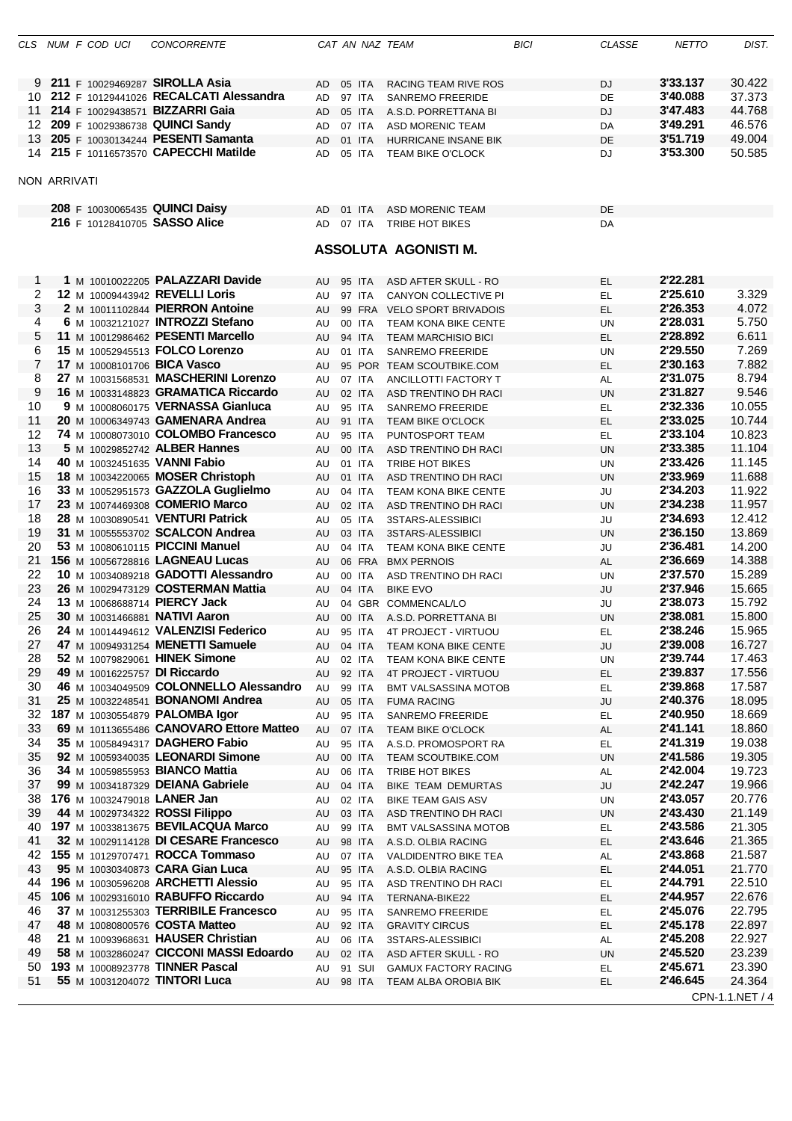|          |                     | CLS NUM F COD UCI | <b>CONCORRENTE</b>                                                 |                 |                  | CAT AN NAZ TEAM                                    | <b>BICI</b> | <b>CLASSE</b>   | <b>NETTO</b>         | DIST.            |
|----------|---------------------|-------------------|--------------------------------------------------------------------|-----------------|------------------|----------------------------------------------------|-------------|-----------------|----------------------|------------------|
|          |                     |                   |                                                                    |                 |                  |                                                    |             |                 |                      |                  |
|          |                     |                   | 9 211 F 10029469287 SIROLLA Asia                                   |                 |                  |                                                    |             |                 | 3'33.137             | 30.422           |
|          |                     |                   | 212 F 10129441026 RECALCATI Alessandra                             | AD              | 05 ITA           | <b>RACING TEAM RIVE ROS</b>                        |             | DJ              | 3'40.088             | 37.373           |
| 10       |                     |                   | 11 214 F 10029438571 BIZZARRI Gaia                                 | AD              | 97 ITA           | <b>SANREMO FREERIDE</b>                            |             | <b>DE</b>       | 3'47.483             | 44.768           |
|          |                     |                   | 12 209 F 10029386738 QUINCI Sandy                                  | AD              | 05 ITA           | A.S.D. PORRETTANA BI                               |             | <b>DJ</b>       | 3'49.291             | 46.576           |
| 13       |                     |                   | 205 F 10030134244 PESENTI Samanta                                  | AD              | 07 ITA           | <b>ASD MORENIC TEAM</b>                            |             | DA              | 3'51.719             | 49.004           |
|          |                     |                   | 14 215 F 10116573570 CAPECCHI Matilde                              | <b>AD</b><br>AD | 01 ITA           | HURRICANE INSANE BIK                               |             | DE              | 3'53.300             | 50.585           |
|          |                     |                   |                                                                    |                 | 05 ITA           | <b>TEAM BIKE O'CLOCK</b>                           |             | DJ              |                      |                  |
|          | <b>NON ARRIVATI</b> |                   |                                                                    |                 |                  |                                                    |             |                 |                      |                  |
|          |                     |                   |                                                                    |                 |                  |                                                    |             |                 |                      |                  |
|          |                     |                   | 208 F 10030065435 QUINCI Daisy                                     | AD.             | 01 ITA           | ASD MORENIC TEAM                                   |             | DE              |                      |                  |
|          |                     |                   | 216 F 10128410705 SASSO Alice                                      | AD              | 07 ITA           | <b>TRIBE HOT BIKES</b>                             |             | DA              |                      |                  |
|          |                     |                   |                                                                    |                 |                  |                                                    |             |                 |                      |                  |
|          |                     |                   |                                                                    |                 |                  | <b>ASSOLUTA AGONISTI M.</b>                        |             |                 |                      |                  |
|          |                     |                   |                                                                    |                 |                  |                                                    |             |                 |                      |                  |
| 1        |                     |                   | 1 M 10010022205 PALAZZARI Davide                                   | AU              | 95 ITA           | ASD AFTER SKULL - RO                               |             | EL.             | 2'22.281             |                  |
| 2        |                     |                   | 12 M 10009443942 REVELLI Loris                                     | AU              | 97 ITA           | CANYON COLLECTIVE PI                               |             | EL.             | 2'25.610             | 3.329            |
| 3        |                     |                   | 2 M 10011102844 PIERRON Antoine                                    | AU              |                  | 99 FRA VELO SPORT BRIVADOIS                        |             | EL              | 2'26.353             | 4.072            |
| 4        |                     |                   | 6 M 10032121027 INTROZZI Stefano                                   | AU              | 00 ITA           | TEAM KONA BIKE CENTE                               |             | UN              | 2'28.031             | 5.750            |
| 5        |                     |                   | 11 M 10012986462 PESENTI Marcello                                  | AU              | 94 ITA           | <b>TEAM MARCHISIO BICI</b>                         |             | EL.             | 2'28.892             | 6.611            |
| 6        |                     |                   | 15 M 10052945513 FOLCO Lorenzo                                     | AU              | 01 ITA           | <b>SANREMO FREERIDE</b>                            |             | <b>UN</b>       | 2'29.550             | 7.269            |
| 7        |                     |                   | 17 M 10008101706 <b>BICA Vasco</b>                                 | AU              |                  | 95 POR TEAM SCOUTBIKE.COM                          |             | <b>EL</b>       | 2'30.163             | 7.882            |
| 8        |                     |                   | 27 M 10031568531 MASCHERINI Lorenzo                                | AU              | 07 ITA           | ANCILLOTTI FACTORY T                               |             | AL              | 2'31.075             | 8.794            |
| 9        |                     |                   | 16 M 10033148823 GRAMATICA Riccardo                                | AU              | 02 ITA           | ASD TRENTINO DH RACI                               |             | <b>UN</b>       | 2'31.827             | 9.546            |
| 10       |                     |                   | 9 M 10008060175 VERNASSA Gianluca                                  | AU              | 95 ITA           | <b>SANREMO FREERIDE</b>                            |             | EL              | 2'32.336             | 10.055           |
| 11       |                     |                   | 20 M 10006349743 GAMENARA Andrea                                   | AU              | 91 ITA           | <b>TEAM BIKE O'CLOCK</b>                           |             | EL              | 2'33.025             | 10.744           |
| 12       |                     |                   | 74 M 10008073010 COLOMBO Francesco                                 | AU              | 95 ITA           | PUNTOSPORT TEAM                                    |             | EL              | 2'33.104             | 10.823           |
| 13       |                     |                   | 5 M 10029852742 ALBER Hannes                                       | AU              | 00 ITA           | ASD TRENTINO DH RACI                               |             | <b>UN</b>       | 2'33.385             | 11.104           |
| 14       |                     |                   | 40 M 10032451635 VANNI Fabio                                       | AU              | 01 ITA           | TRIBE HOT BIKES                                    |             | UN              | 2'33.426             | 11.145           |
| 15       |                     |                   | 18 M 10034220065 MOSER Christoph                                   | AU              | 01 ITA           | ASD TRENTINO DH RACI                               |             | <b>UN</b>       | 2'33.969             | 11.688           |
| 16       |                     |                   | 33 M 10052951573 GAZZOLA Guglielmo                                 | AU              | 04 ITA           | TEAM KONA BIKE CENTE                               |             | JU              | 2'34.203<br>2'34.238 | 11.922<br>11.957 |
| 17<br>18 |                     |                   | 23 M 10074469308 COMERIO Marco<br>28 M 10030890541 VENTURI Patrick | AU              | 02 ITA           | ASD TRENTINO DH RACI                               |             | <b>UN</b>       | 2'34.693             | 12.412           |
| 19       |                     |                   | 31 M 10055553702 SCALCON Andrea                                    | AU<br>AU        | 05 ITA<br>03 ITA | 3STARS-ALESSIBICI<br>3STARS-ALESSIBICI             |             | JU<br><b>UN</b> | 2'36.150             | 13.869           |
| 20       |                     |                   | 53 M 10080610115 PICCINI Manuel                                    | AU              | 04 ITA           | TEAM KONA BIKE CENTE                               |             | JU              | 2'36.481             | 14.200           |
| 21       |                     |                   | 156 M 10056728816 LAGNEAU Lucas                                    | AU              |                  | 06 FRA BMX PERNOIS                                 |             | AL              | 2'36.669             | 14.388           |
| 22       |                     |                   | 10 M 10034089218 GADOTTI Alessandro                                | AU              | 00 ITA           | ASD TRENTINO DH RACI                               |             | UN              | 2'37.570             | 15.289           |
| 23       |                     |                   | 26 M 10029473129 COSTERMAN Mattia                                  | AU              | 04 ITA           | <b>BIKE EVO</b>                                    |             | JU              | 2'37.946             | 15.665           |
| 24       |                     |                   | 13 M 10068688714 PIERCY Jack                                       | AU              |                  | 04 GBR COMMENCAL/LO                                |             | JU              | 2'38.073             | 15.792           |
| 25       |                     |                   | 30 M 10031466881 NATIVI Aaron                                      | AU              |                  | 00 ITA A.S.D. PORRETTANA BI                        |             | <b>UN</b>       | 2'38.081             | 15.800           |
| 26       |                     |                   | 24 M 10014494612 VALENZISI Federico                                | AU              | 95 ITA           | 4T PROJECT - VIRTUOU                               |             | EL.             | 2'38.246             | 15.965           |
| 27       |                     |                   | 47 M 10094931254 MENETTI Samuele                                   | AU              | 04 ITA           | TEAM KONA BIKE CENTE                               |             | JU              | 2'39.008             | 16.727           |
| 28       |                     |                   | 52 M 10079829061 HINEK Simone                                      | AU              | 02 ITA           | TEAM KONA BIKE CENTE                               |             | UN              | 2'39.744             | 17.463           |
| 29       |                     |                   | 49 M 10016225757 DI Riccardo                                       | AU              | 92 ITA           | 4T PROJECT - VIRTUOU                               |             | EL              | 2'39.837             | 17.556           |
| 30       |                     |                   | 46 M 10034049509 COLONNELLO Alessandro                             | AU              | 99 ITA           | <b>BMT VALSASSINA MOTOB</b>                        |             | EL              | 2'39.868             | 17.587           |
| 31       |                     |                   | 25 M 10032248541 <b>BONANOMI Andrea</b>                            | AU              | 05 ITA           | <b>FUMA RACING</b>                                 |             | JU              | 2'40.376             | 18.095           |
| 32       |                     |                   | 187 M 10030554879 PALOMBA Igor                                     | AU              | 95 ITA           | <b>SANREMO FREERIDE</b>                            |             | EL              | 2'40.950             | 18.669           |
| 33       |                     |                   | 69 M 10113655486 CANOVARO Ettore Matteo                            | AU              | 07 ITA           | <b>TEAM BIKE O'CLOCK</b>                           |             | <b>AL</b>       | 2'41.141             | 18.860           |
| 34       |                     |                   | 35 M 10058494317 DAGHERO Fabio                                     | AU              | 95 ITA           | A.S.D. PROMOSPORT RA                               |             | EL              | 2'41.319             | 19.038           |
| 35       |                     |                   | 92 M 10059340035 LEONARDI Simone                                   | AU              | 00 ITA           | <b>TEAM SCOUTBIKE.COM</b>                          |             | <b>UN</b>       | 2'41.586             | 19.305           |
| 36       |                     |                   | <b>34 M 10059855953 BIANCO Mattia</b>                              | AU              | 06 ITA           | TRIBE HOT BIKES                                    |             | AL              | 2'42.004             | 19.723           |
| 37       |                     |                   | 99 M 10034187329 DEIANA Gabriele                                   | AU              | 04 ITA           | BIKE TEAM DEMURTAS                                 |             | JU              | 2'42.247             | 19.966           |
| 38<br>39 |                     |                   | 176 M 10032479018 LANER Jan<br>44 M 10029734322 ROSSI Filippo      | AU<br>AU        | 02 ITA<br>03 ITA | <b>BIKE TEAM GAIS ASV</b>                          |             | UN<br><b>UN</b> | 2'43.057<br>2'43.430 | 20.776<br>21.149 |
| 40       |                     |                   | 197 M 10033813675 BEVILACQUA Marco                                 |                 |                  | ASD TRENTINO DH RACI                               |             |                 | 2'43.586             | 21.305           |
| 41       |                     |                   | 32 M 10029114128 DI CESARE Francesco                               | AU<br>AU        | 99 ITA<br>98 ITA | <b>BMT VALSASSINA MOTOB</b><br>A.S.D. OLBIA RACING |             | EL<br><b>EL</b> | 2'43.646             | 21.365           |
| 42       |                     |                   | 155 M 10129707471 ROCCA Tommaso                                    | AU              | 07 ITA           | VALDIDENTRO BIKE TEA                               |             | <b>AL</b>       | 2'43.868             | 21.587           |
| 43       |                     |                   | 95 M 10030340873 CARA Gian Luca                                    | AU              | 95 ITA           | A.S.D. OLBIA RACING                                |             | EL.             | 2'44.051             | 21.770           |
| 44       |                     |                   | 196 M 10030596208 ARCHETTI Alessio                                 | AU              | 95 ITA           | ASD TRENTINO DH RACI                               |             | EL              | 2'44.791             | 22.510           |
| 45       |                     |                   | 106 M 10029316010 RABUFFO Riccardo                                 | AU              | 94 ITA           | TERNANA-BIKE22                                     |             | EL.             | 2'44.957             | 22.676           |
| 46       |                     |                   | 37 M 10031255303 TERRIBILE Francesco                               | AU              | 95 ITA           | <b>SANREMO FREERIDE</b>                            |             | EL              | 2'45.076             | 22.795           |
| 47       |                     |                   | 48 M 10080800576 COSTA Matteo                                      | AU              | 92 ITA           | <b>GRAVITY CIRCUS</b>                              |             | EL.             | 2'45.178             | 22.897           |
| 48       |                     |                   | 21 M 10093968631 HAUSER Christian                                  | AU              | 06 ITA           | 3STARS-ALESSIBICI                                  |             | AL              | 2'45.208             | 22.927           |
| 49       |                     |                   | 58 M 10032860247 CICCONI MASSI Edoardo                             | AU              | 02 ITA           | ASD AFTER SKULL - RO                               |             | <b>UN</b>       | 2'45.520             | 23.239           |
| 50       |                     |                   | 193 M 10008923778 TINNER Pascal                                    | AU              | 91 SUI           | <b>GAMUX FACTORY RACING</b>                        |             | EL.             | 2'45.671             | 23.390           |
| 51       |                     |                   | 55 M 10031204072 TINTORI Luca                                      | AU              | 98 ITA           | TEAM ALBA OROBIA BIK                               |             | <b>EL</b>       | 2'46.645             | 24.364           |
|          |                     |                   |                                                                    |                 |                  |                                                    |             |                 |                      | CPN-1.1.NET / 4  |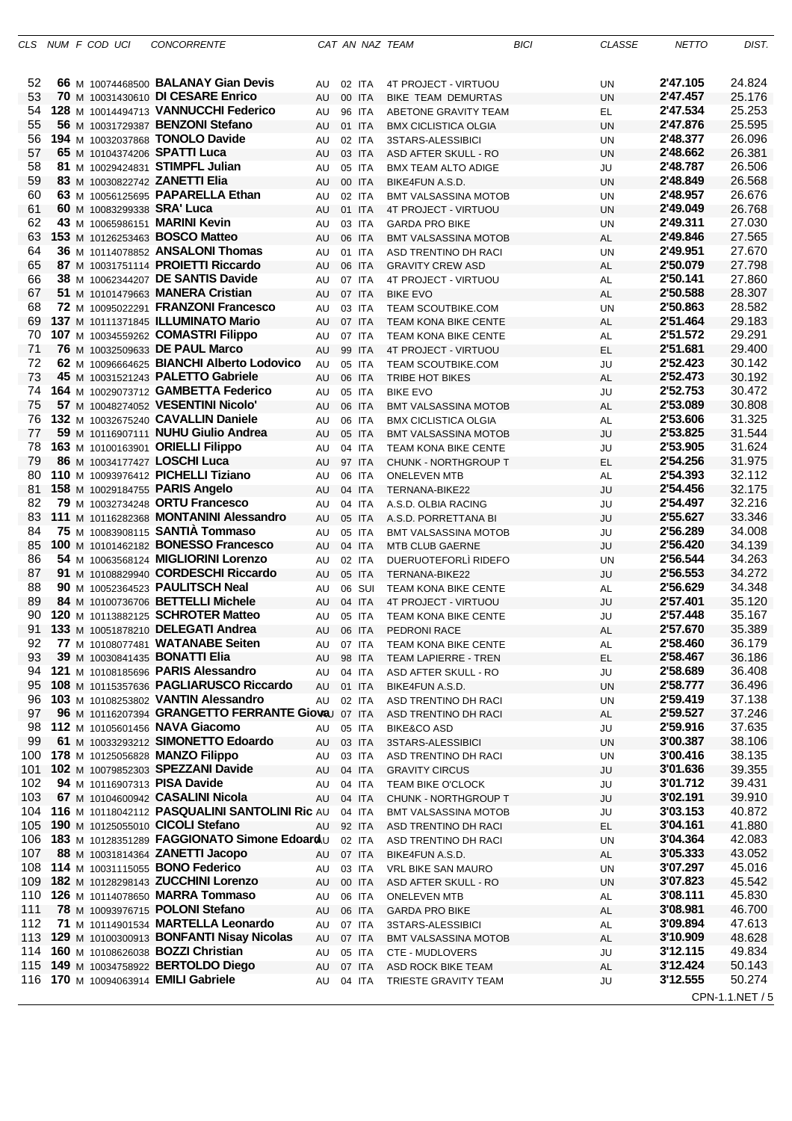|           |  | CLS NUM FCODUCI                          | <b>CONCORRENTE</b>                                                                    |                 |                  | CAT AN NAZ TEAM                                | <b>BICI</b> | CLASSE                 | <b>NETTO</b>         | DIST.            |
|-----------|--|------------------------------------------|---------------------------------------------------------------------------------------|-----------------|------------------|------------------------------------------------|-------------|------------------------|----------------------|------------------|
| 52        |  |                                          | 66 M 10074468500 <b>BALANAY Gian Devis</b>                                            | AU              | 02 ITA           | 4T PROJECT - VIRTUOU                           |             | UN                     | 2'47.105             | 24.824           |
| 53        |  |                                          | 70 M 10031430610 DI CESARE Enrico                                                     | AU              | 00 ITA           | <b>BIKE TEAM DEMURTAS</b>                      |             | <b>UN</b>              | 2'47.457             | 25.176           |
| 54        |  |                                          | 128 M 10014494713 VANNUCCHI Federico                                                  | AU              | 96 ITA           | ABETONE GRAVITY TEAM                           |             | EL.                    | 2'47.534             | 25.253           |
| 55        |  |                                          | 56 M 10031729387 BENZONI Stefano                                                      | AU              | 01 ITA           | <b>BMX CICLISTICA OLGIA</b>                    |             | <b>UN</b>              | 2'47.876             | 25.595           |
| 56        |  |                                          | 194 M 10032037868 TONOLO Davide                                                       | AU              | 02 ITA           | 3STARS-ALESSIBICI                              |             | <b>UN</b>              | 2'48.377             | 26.096           |
| 57        |  |                                          | 65 M 10104374206 SPATTI Luca                                                          | AU              | 03 ITA           | ASD AFTER SKULL - RO                           |             | <b>UN</b>              | 2'48.662             | 26.381           |
| 58<br>59  |  |                                          | 81 M 10029424831 STIMPFL Julian<br>83 M 10030822742 ZANETTI Elia                      | AU              | 05 ITA           | <b>BMX TEAM ALTO ADIGE</b>                     |             | JU                     | 2'48.787<br>2'48.849 | 26.506<br>26.568 |
| 60        |  |                                          | 63 M 10056125695 PAPARELLA Ethan                                                      | AU<br>AU        | 00 ITA<br>02 ITA | BIKE4FUN A.S.D.<br><b>BMT VALSASSINA MOTOB</b> |             | <b>UN</b><br><b>UN</b> | 2'48.957             | 26.676           |
| 61        |  | <b>60</b> M 10083299338 <b>SRA' Luca</b> |                                                                                       | AU              | 01 ITA           | 4T PROJECT - VIRTUOU                           |             | <b>UN</b>              | 2'49.049             | 26.768           |
| 62        |  |                                          | 43 M 10065986151 MARINI Kevin                                                         | AU              | 03 ITA           | <b>GARDA PRO BIKE</b>                          |             | <b>UN</b>              | 2'49.311             | 27.030           |
| 63        |  |                                          | 153 M 10126253463 <b>BOSCO Matteo</b>                                                 | AU              | 06 ITA           | <b>BMT VALSASSINA MOTOB</b>                    |             | AL                     | 2'49.846             | 27.565           |
| 64        |  |                                          | 36 M 10114078852 ANSALONI Thomas                                                      | AU              | 01 ITA           | ASD TRENTINO DH RACI                           |             | <b>UN</b>              | 2'49.951             | 27.670           |
| 65        |  |                                          | 87 M 10031751114 PROIETTI Riccardo                                                    | AU              | 06 ITA           | <b>GRAVITY CREW ASD</b>                        |             | <b>AL</b>              | 2'50.079             | 27.798           |
| 66        |  |                                          | 38 M 10062344207 DE SANTIS Davide                                                     | AU              | 07 ITA           | 4T PROJECT - VIRTUOU                           |             | AL                     | 2'50.141             | 27.860           |
| 67        |  |                                          | 51 M 10101479663 MANERA Cristian                                                      | AU              | 07 ITA           | <b>BIKE EVO</b>                                |             | <b>AL</b>              | 2'50.588             | 28.307           |
| 68        |  |                                          | 72 M 10095022291 FRANZONI Francesco                                                   | AU              | 03 ITA           | <b>TEAM SCOUTBIKE.COM</b>                      |             | UN                     | 2'50.863             | 28.582           |
| 69        |  |                                          | 137 M 10111371845 ILLUMINATO Mario                                                    | AU              | 07 ITA           | <b>TEAM KONA BIKE CENTE</b>                    |             | <b>AL</b>              | 2'51.464             | 29.183           |
| 70        |  |                                          | 107 M 10034559262 COMASTRI Filippo                                                    | AU              | 07 ITA           | <b>TEAM KONA BIKE CENTE</b>                    |             | AL                     | 2'51.572             | 29.291           |
| 71<br>72  |  |                                          | 76 M 10032509633 DE PAUL Marco<br>62 M 10096664625 BIANCHI Alberto Lodovico           | AU              | 99 ITA           | 4T PROJECT - VIRTUOU                           |             | EL.                    | 2'51.681<br>2'52.423 | 29.400<br>30.142 |
| 73        |  |                                          | 45 M 10031521243 PALETTO Gabriele                                                     | AU              | 05 ITA           | <b>TEAM SCOUTBIKE.COM</b>                      |             | JU                     | 2'52.473             | 30.192           |
| 74        |  |                                          | 164 M 10029073712 GAMBETTA Federico                                                   | AU<br>AU        | 06 ITA<br>05 ITA | TRIBE HOT BIKES<br><b>BIKE EVO</b>             |             | AL<br>JU               | 2'52.753             | 30.472           |
| 75        |  |                                          | 57 M 10048274052 VESENTINI Nicolo'                                                    | AU              | 06 ITA           | <b>BMT VALSASSINA MOTOB</b>                    |             | AL                     | 2'53.089             | 30.808           |
|           |  |                                          | 76 132 M 10032675240 CAVALLIN Daniele                                                 | AU              | 06 ITA           | <b>BMX CICLISTICA OLGIA</b>                    |             | AL                     | 2'53.606             | 31.325           |
| 77        |  |                                          | 59 M 10116907111 NUHU Giulio Andrea                                                   | AU              | 05 ITA           | <b>BMT VALSASSINA MOTOB</b>                    |             | JU                     | 2'53.825             | 31.544           |
| 78        |  |                                          | 163 M 10100163901 ORIELLI Filippo                                                     | AU              | 04 ITA           | TEAM KONA BIKE CENTE                           |             | JU                     | 2'53.905             | 31.624           |
| 79        |  |                                          | 86 M 10034177427 LOSCHI Luca                                                          | AU              | 97 ITA           | <b>CHUNK - NORTHGROUP T</b>                    |             | EL.                    | 2'54.256             | 31.975           |
| 80        |  |                                          | 110 M 10093976412 PICHELLI Tiziano                                                    | AU              | 06 ITA           | <b>ONELEVEN MTB</b>                            |             | AL                     | 2'54.393             | 32.112           |
| 81        |  |                                          | 158 M 10029184755 PARIS Angelo                                                        | AU              | 04 ITA           | TERNANA-BIKE22                                 |             | JU                     | 2'54.456             | 32.175           |
| 82        |  |                                          | 79 M 10032734248 ORTU Francesco                                                       | AU              | 04 ITA           | A.S.D. OLBIA RACING                            |             | JU                     | 2'54.497             | 32.216           |
|           |  |                                          | 83 111 M 10116282368 MONTANINI Alessandro                                             | AU              | 05 ITA           | A.S.D. PORRETTANA BI                           |             | JU                     | 2'55.627             | 33.346           |
| 84        |  |                                          | 75 M 10083908115 SANTIA Tommaso                                                       | AU              | 05 ITA           | <b>BMT VALSASSINA MOTOB</b>                    |             | JU                     | 2'56.289             | 34.008           |
| 85        |  |                                          | 100 M 10101462182 BONESSO Francesco                                                   | AU              | 04 ITA           | <b>MTB CLUB GAERNE</b>                         |             | JU                     | 2'56.420             | 34.139           |
| 86<br>87  |  |                                          | 54 M 10063568124 MIGLIORINI Lorenzo<br>91 M 10108829940 CORDESCHI Riccardo            | AU              | 02 ITA           | DUERUOTEFORLI RIDEFO                           |             | <b>UN</b>              | 2'56.544<br>2'56.553 | 34.263<br>34.272 |
| 88        |  |                                          | 90 M 10052364523 PAULITSCH Neal                                                       | AU<br>AU        | 05 ITA<br>06 SUI | TERNANA-BIKE22<br><b>TEAM KONA BIKE CENTE</b>  |             | JU<br>AL               | 2'56.629             | 34.348           |
| 89        |  |                                          | 84 M 10100736706 BETTELLI Michele                                                     | AU              | 04 ITA           | <b>4T PROJECT - VIRTUOU</b>                    |             | JU                     | 2'57.401             | 35.120           |
| 90        |  |                                          | 120 M 10113882125 SCHROTER Matteo                                                     | AU              | 05 ITA           | TEAM KONA BIKE CENTE                           |             | JU                     | 2'57.448             | 35.167           |
| 91        |  |                                          | 133 M 10051878210 DELEGATI Andrea                                                     | AU              | 06 ITA           | PEDRONI RACE                                   |             | AL                     | 2'57.670             | 35.389           |
| 92        |  |                                          | <b>77</b> M 10108077481 <b>WATANABE Seiten</b>                                        | AU              | 07 ITA           | TEAM KONA BIKE CENTE                           |             | AL                     | 2'58.460             | 36.179           |
| 93        |  |                                          | 39 M 10030841435 <b>BONATTI Elia</b>                                                  | AU              | 98 ITA           | <b>TEAM LAPIERRE - TREN</b>                    |             | EL.                    | 2'58.467             | 36.186           |
| 94        |  |                                          | 121 M 10108185696 PARIS Alessandro                                                    | AU              | 04 ITA           | ASD AFTER SKULL - RO                           |             | JU                     | 2'58.689             | 36.408           |
| 95        |  |                                          | 108 M 10115357636 PAGLIARUSCO Riccardo                                                | AU              | 01 ITA           | BIKE4FUN A.S.D.                                |             | UN                     | 2'58.777             | 36.496           |
| 96        |  |                                          | 103 M 10108253802 VANTIN Alessandro                                                   | AU              | 02 ITA           | ASD TRENTINO DH RACI                           |             | UN                     | 2'59.419             | 37.138           |
| 97        |  |                                          | 96 M 10116207394 GRANGETTO FERRANTE Gioval 07 ITA                                     |                 |                  | ASD TRENTINO DH RACI                           |             | <b>AL</b>              | 2'59.527             | 37.246           |
| 98        |  |                                          | 112 M 10105601456 NAVA Giacomo                                                        | AU 05 ITA       |                  | <b>BIKE&amp;CO ASD</b>                         |             | JU                     | 2'59.916             | 37.635           |
| 99<br>100 |  |                                          | 61 M 10033293212 SIMONETTO Edoardo<br>178 M 10125056828 MANZO Filippo                 | AU              | 03 ITA           | 3STARS-ALESSIBICI                              |             | <b>UN</b>              | 3'00.387<br>3'00.416 | 38.106<br>38.135 |
| 101       |  |                                          | 102 M 10079852303 SPEZZANI Davide                                                     | AU<br>AU        | 03 ITA<br>04 ITA | ASD TRENTINO DH RACI<br><b>GRAVITY CIRCUS</b>  |             | UN<br>JU               | 3'01.636             | 39.355           |
| 102       |  |                                          | 94 M 10116907313 PISA Davide                                                          | AU              | 04 ITA           | TEAM BIKE O'CLOCK                              |             | JU                     | 3'01.712             | 39.431           |
| 103       |  |                                          | 67 M 10104600942 CASALINI Nicola                                                      | AU              | 04 ITA           | CHUNK - NORTHGROUP T                           |             | JU                     | 3'02.191             | 39.910           |
|           |  |                                          | 104 116 M 10118042112 PASQUALINI SANTOLINI Ric AU                                     |                 | 04 ITA           | <b>BMT VALSASSINA MOTOB</b>                    |             | JU                     | 3'03.153             | 40.872           |
|           |  |                                          | 105 190 M 10125055010 CICOLI Stefano                                                  | AU              | 92 ITA           | ASD TRENTINO DH RACI                           |             | EL.                    | 3'04.161             | 41.880           |
|           |  |                                          | 106 183 M 10128351289 FAGGIONATO Simone Edoard U                                      |                 | 02 ITA           | ASD TRENTINO DH RACI                           |             | UN                     | 3'04.364             | 42.083           |
| 107       |  |                                          | 88 M 10031814364 ZANETTI Jacopo                                                       | AU              | 07 ITA           | BIKE4FUN A.S.D.                                |             | AL                     | 3'05.333             | 43.052           |
| 108       |  |                                          | 114 M 10031115055 <b>BONO Federico</b>                                                | AU              | 03 ITA           | VRL BIKE SAN MAURO                             |             | UN                     | 3'07.297             | 45.016           |
|           |  |                                          | 109 182 M 10128298143 ZUCCHINI Lorenzo                                                | AU              | 00 ITA           | ASD AFTER SKULL - RO                           |             | <b>UN</b>              | 3'07.823             | 45.542           |
| 110       |  |                                          | 126 M 10114078650 MARRA Tommaso                                                       | AU              | 06 ITA           | <b>ONELEVEN MTB</b>                            |             | AL                     | 3'08.111             | 45.830           |
| 111       |  |                                          | 78 M 10093976715 POLONI Stefano                                                       | AU              | 06 ITA           | <b>GARDA PRO BIKE</b>                          |             | <b>AL</b>              | 3'08.981             | 46.700           |
| 112       |  |                                          | 71 M 10114901534 MARTELLA Leonardo                                                    | AU              | 07 ITA           | 3STARS-ALESSIBICI                              |             | AL                     | 3'09.894<br>3'10.909 | 47.613           |
|           |  |                                          | 113 129 M 10100300913 BONFANTI Nisay Nicolas<br>114 160 M 10108626038 BOZZI Christian | AU              | 07 ITA           | <b>BMT VALSASSINA MOTOB</b>                    |             | <b>AL</b>              | 3'12.115             | 48.628<br>49.834 |
|           |  |                                          | 115 149 M 10034758922 BERTOLDO Diego                                                  | AU              | 05 ITA           | CTE - MUDLOVERS                                |             | JU<br><b>AL</b>        | 3'12.424             | 50.143           |
|           |  |                                          | 116 170 M 10094063914 EMILI Gabriele                                                  | AU<br>AU 04 ITA | 07 ITA           | ASD ROCK BIKE TEAM<br>TRIESTE GRAVITY TEAM     |             | JU                     | 3'12.555             | 50.274           |
|           |  |                                          |                                                                                       |                 |                  |                                                |             |                        |                      |                  |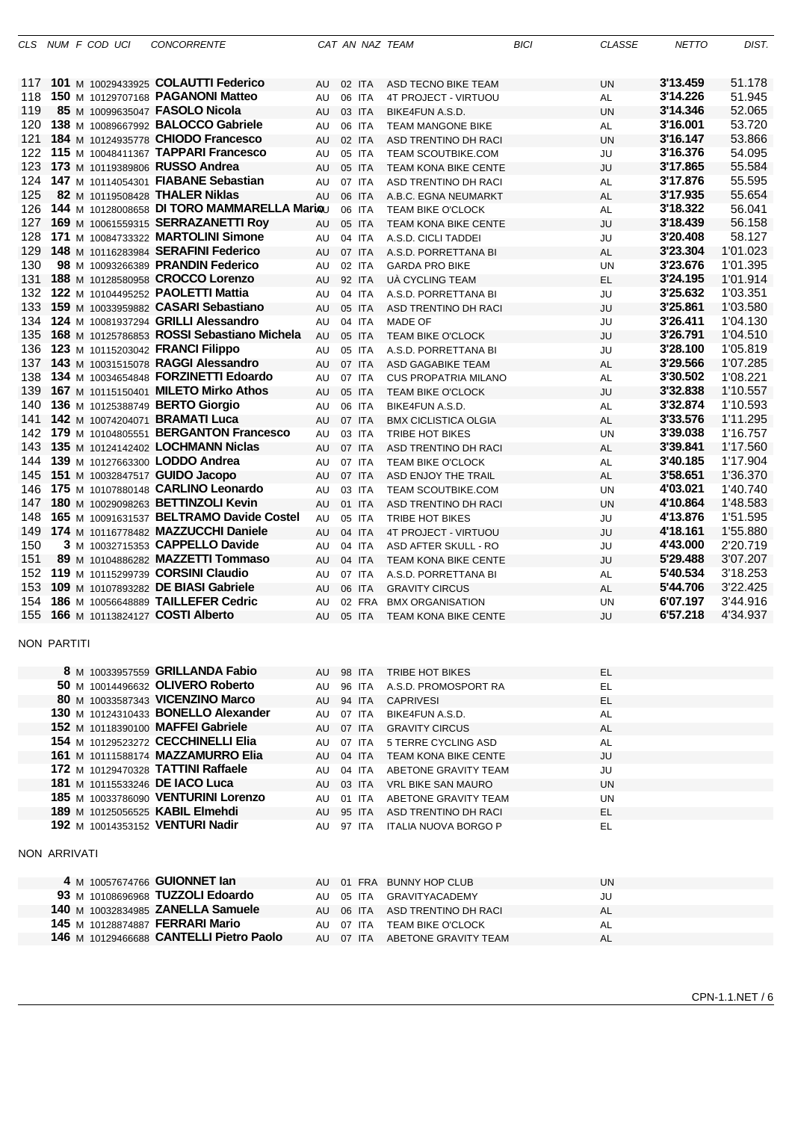|            |                    | CLS NUM F COD UCI | <b>CONCORRENTE</b>                                                        |          |                  | CAT AN NAZ TEAM                                   | <b>BICI</b> | <b>CLASSE</b>   | <b>NETTO</b>         | DIST.                |
|------------|--------------------|-------------------|---------------------------------------------------------------------------|----------|------------------|---------------------------------------------------|-------------|-----------------|----------------------|----------------------|
|            |                    |                   |                                                                           |          |                  |                                                   |             |                 |                      |                      |
|            |                    |                   | 117 101 M 10029433925 COLAUTTI Federico                                   | AU       | 02 ITA           | ASD TECNO BIKE TEAM                               |             | UN              | 3'13.459             | 51.178               |
| 118        |                    |                   | 150 M 10129707168 PAGANONI Matteo                                         | AU       | 06 ITA           | 4T PROJECT - VIRTUOU                              |             | AL              | 3'14.226             | 51.945               |
| 119        |                    |                   | 85 M 10099635047 FASOLO Nicola                                            | AU       | 03 ITA           | BIKE4FUN A.S.D.                                   |             | <b>UN</b>       | 3'14.346             | 52.065               |
| 120        |                    |                   | 138 M 10089667992 BALOCCO Gabriele                                        | AU       | 06 ITA           | <b>TEAM MANGONE BIKE</b>                          |             | AL              | 3'16.001             | 53.720               |
| 121        |                    |                   | 184 M 10124935778 CHIODO Francesco                                        | AU       | 02 ITA           | ASD TRENTINO DH RACI                              |             | <b>UN</b>       | 3'16.147             | 53.866               |
|            |                    |                   | 122 115 M 10048411367 TAPPARI Francesco                                   | AU       | 05 ITA           | TEAM SCOUTBIKE.COM                                |             | JU              | 3'16.376             | 54.095               |
| 123        |                    |                   | 173 M 10119389806 RUSSO Andrea                                            | AU       | 05 ITA           | <b>TEAM KONA BIKE CENTE</b>                       |             | JU              | 3'17.865             | 55.584               |
| 124        |                    |                   | 147 M 10114054301 FIABANE Sebastian                                       | AU       | 07 ITA           | ASD TRENTINO DH RACI                              |             | AL              | 3'17.876             | 55.595               |
| 125        |                    |                   | 82 M 10119508428 THALER Niklas                                            | AU       | 06 ITA           | A.B.C. EGNA NEUMARKT                              |             | AL              | 3'17.935             | 55.654               |
| 126        |                    |                   | 144 M 10128008658 DI TORO MAMMARELLA Mariou                               |          | 06 ITA           | <b>TEAM BIKE O'CLOCK</b>                          |             | <b>AL</b>       | 3'18.322             | 56.041               |
| 127        |                    |                   | 169 M 10061559315 SERRAZANETTI Roy                                        | AU       | 05 ITA           | <b>TEAM KONA BIKE CENTE</b>                       |             | JU              | 3'18.439             | 56.158               |
| 128<br>129 |                    |                   | 171 M 10084733322 MARTOLINI Simone<br>148 M 10116283984 SERAFINI Federico | AU       | 04 ITA<br>07 ITA | A.S.D. CICLI TADDEI                               |             | JU              | 3'20.408<br>3'23.304 | 58.127<br>1'01.023   |
| 130        |                    |                   | 98 M 10093266389 PRANDIN Federico                                         | AU<br>AU | 02 ITA           | A.S.D. PORRETTANA BI<br><b>GARDA PRO BIKE</b>     |             | AL<br>UN        | 3'23.676             | 1'01.395             |
| 131        |                    |                   | 188 M 10128580958 CROCCO Lorenzo                                          | AU       | 92 ITA           | UÀ CYCLING TEAM                                   |             | <b>EL</b>       | 3'24.195             | 1'01.914             |
|            |                    |                   | 132 122 M 10104495252 PAOLETTI Mattia                                     | AU       | 04 ITA           | A.S.D. PORRETTANA BI                              |             | JU              | 3'25.632             | 1'03.351             |
| 133        |                    |                   | 159 M 10033959882 CASARI Sebastiano                                       | AU       | 05 ITA           | ASD TRENTINO DH RACI                              |             | JU              | 3'25.861             | 1'03.580             |
| 134        |                    |                   | 124 M 10081937294 GRILLI Alessandro                                       | AU       | 04 ITA           | MADE OF                                           |             | JU              | 3'26.411             | 1'04.130             |
| 135        |                    |                   | 168 M 10125786853 ROSSI Sebastiano Michela                                | AU       | 05 ITA           | <b>TEAM BIKE O'CLOCK</b>                          |             | JU              | 3'26.791             | 1'04.510             |
|            |                    |                   | 136 123 M 10115203042 FRANCI Filippo                                      | AU       | 05 ITA           | A.S.D. PORRETTANA BI                              |             | JU              | 3'28.100             | 1'05.819             |
|            |                    |                   | 137 143 M 10031515078 RAGGI Alessandro                                    | AU       | 07 ITA           | ASD GAGABIKE TEAM                                 |             | AL              | 3'29.566             | 1'07.285             |
| 138        |                    |                   | 134 M 10034654848 FORZINETTI Edoardo                                      | AU       | 07 ITA           | <b>CUS PROPATRIA MILANO</b>                       |             | AL              | 3'30.502             | 1'08.221             |
|            |                    |                   | 139 167 M 10115150401 MILETO Mirko Athos                                  | AU       | 05 ITA           | <b>TEAM BIKE O'CLOCK</b>                          |             | JU              | 3'32.838             | 1'10.557             |
|            |                    |                   | 140 136 M 10125388749 BERTO Giorgio                                       | AU       | 06 ITA           | BIKE4FUN A.S.D.                                   |             | AL              | 3'32.874             | 1'10.593             |
|            |                    |                   | 141 142 M 10074204071 BRAMATI Luca                                        | AU       | 07 ITA           | <b>BMX CICLISTICA OLGIA</b>                       |             | AL              | 3'33.576             | 1'11.295             |
|            |                    |                   | 142 179 M 10104805551 BERGANTON Francesco                                 | AU       | 03 ITA           | TRIBE HOT BIKES                                   |             | UN              | 3'39.038             | 1'16.757             |
| 143        |                    |                   | 135 M $10124142402$ LOCHMANN Niclas                                       | AU       | 07 ITA           | ASD TRENTINO DH RACI                              |             | AL              | 3'39.841             | 1'17.560             |
| 144        |                    |                   | 139 M 10127663300 LODDO Andrea                                            | AU       | 07 ITA           | <b>TEAM BIKE O'CLOCK</b>                          |             | AL              | 3'40.185             | 1'17.904             |
| 145<br>146 |                    |                   | 151 M 10032847517 GUIDO Jacopo<br>175 M 10107880148 CARLINO Leonardo      | AU       | 07 ITA           | ASD ENJOY THE TRAIL                               |             | AL              | 3'58.651<br>4'03.021 | 1'36.370<br>1'40.740 |
| 147        |                    |                   | 180 M 10029098263 BETTINZOLI Kevin                                        | AU<br>AU | 03 ITA<br>01 ITA | <b>TEAM SCOUTBIKE.COM</b><br>ASD TRENTINO DH RACI |             | UN<br><b>UN</b> | 4'10.864             | 1'48.583             |
| 148        |                    |                   | 165 M 10091631537 BELTRAMO Davide Costel                                  | AU       | 05 ITA           | <b>TRIBE HOT BIKES</b>                            |             | JU              | 4'13.876             | 1'51.595             |
|            |                    |                   | 149 174 M 10116778482 MAZZUCCHI Daniele                                   | AU       | 04 ITA           | 4T PROJECT - VIRTUOU                              |             | JU              | 4'18.161             | 1'55.880             |
| 150        |                    |                   | 3 M 10032715353 CAPPELLO Davide                                           | AU       | 04 ITA           | ASD AFTER SKULL - RO                              |             | JU              | 4'43.000             | 2'20.719             |
| 151        |                    |                   | 89 M 10104886282 MAZZETTI Tommaso                                         | AU       | 04 ITA           | <b>TEAM KONA BIKE CENTE</b>                       |             | JU              | 5'29.488             | 3'07.207             |
| 152        |                    |                   | 119 M 10115299739 CORSINI Claudio                                         | AU       | 07 ITA           | A.S.D. PORRETTANA BI                              |             | AL              | 5'40.534             | 3'18.253             |
| 153        |                    |                   | 109 M 10107893282 DE BIASI Gabriele                                       | AU       | 06 ITA           | <b>GRAVITY CIRCUS</b>                             |             | AL              | 5'44.706             | 3'22.425             |
| 154        |                    |                   | 186 M 10056648889 TAILLEFER Cedric                                        | AU       | 02 FRA           | <b>BMX ORGANISATION</b>                           |             | UN              | 6'07.197             | 3'44.916             |
| 155        |                    |                   | 166 M 10113824127 COSTI Alberto                                           | AU       | 05 ITA           | <b>TEAM KONA BIKE CENTE</b>                       |             | JU              | 6'57.218             | 4'34.937             |
|            |                    |                   |                                                                           |          |                  |                                                   |             |                 |                      |                      |
|            | <b>NON PARTITI</b> |                   |                                                                           |          |                  |                                                   |             |                 |                      |                      |
|            |                    |                   | <b>8</b> M 10033957559 <b>GRILLANDA Fabio</b>                             | AU       | 98 ITA           | <b>TRIBE HOT BIKES</b>                            |             | EL              |                      |                      |
|            |                    |                   | 50 M 10014496632 OLIVERO Roberto                                          | AU       | 96 ITA           | A.S.D. PROMOSPORT RA                              |             | EL              |                      |                      |
|            |                    |                   | 80 M 10033587343 VICENZINO Marco                                          | AU       | 94 ITA           | <b>CAPRIVESI</b>                                  |             | EL              |                      |                      |
|            |                    |                   | 130 M 10124310433 BONELLO Alexander                                       | AU       | 07 ITA           | BIKE4FUN A.S.D.                                   |             | <b>AL</b>       |                      |                      |
|            |                    |                   | 152 M 10118390100 MAFFEI Gabriele                                         | AU       | 07 ITA           | <b>GRAVITY CIRCUS</b>                             |             | <b>AL</b>       |                      |                      |
|            |                    |                   | 154 M 10129523272 CECCHINELLI Elia                                        | AU       | 07 ITA           | 5 TERRE CYCLING ASD                               |             | AL              |                      |                      |
|            |                    |                   | <b>161 M 10111588174 MAZZAMURRO Elia</b>                                  | AU       | 04 ITA           | <b>TEAM KONA BIKE CENTE</b>                       |             | JU              |                      |                      |
|            |                    |                   | 172 M 10129470328 TATTINI Raffaele                                        | AU       |                  | 04 ITA ABETONE GRAVITY TEAM                       |             | JU              |                      |                      |
|            |                    |                   | 181 M 10115533246 DE IACO Luca                                            | AU       |                  | 03 ITA VRL BIKE SAN MAURO                         |             | UN              |                      |                      |
|            |                    |                   | 185 M 10033786090 VENTURINI Lorenzo                                       | AU       |                  | 01 ITA ABETONE GRAVITY TEAM                       |             | UN              |                      |                      |
|            |                    |                   | 189 M 10125056525 KABIL Elmehdi                                           | AU       |                  | 95 ITA ASD TRENTINO DH RACI                       |             | EL.             |                      |                      |
|            |                    |                   | 192 M 10014353152 VENTURI Nadir                                           |          |                  | AU 97 ITA ITALIA NUOVA BORGO P                    |             | EL.             |                      |                      |
|            | NON ARRIVATI       |                   |                                                                           |          |                  |                                                   |             |                 |                      |                      |
|            |                    |                   |                                                                           |          |                  |                                                   |             |                 |                      |                      |
|            |                    |                   | 4 M 10057674766 GUIONNET lan                                              |          |                  | AU 01 FRA BUNNY HOP CLUB                          |             | UN              |                      |                      |
|            |                    |                   | 93 M 10108696968 TUZZOLI Edoardo                                          | AU       |                  | 05 ITA GRAVITYACADEMY                             |             | JU              |                      |                      |
|            |                    |                   | 140 M 10032834985 ZANELLA Samuele                                         | AU       |                  | 06 ITA ASD TRENTINO DH RACI                       |             | <b>AL</b>       |                      |                      |
|            |                    |                   | 145 M 10128874887 FERRARI Mario                                           | AU       | 07 ITA           | <b>TEAM BIKE O'CLOCK</b>                          |             | AL              |                      |                      |
|            |                    |                   | 146 M 10129466688 CANTELLI Pietro Paolo                                   |          |                  | AU 07 ITA ABETONE GRAVITY TEAM                    |             | <b>AL</b>       |                      |                      |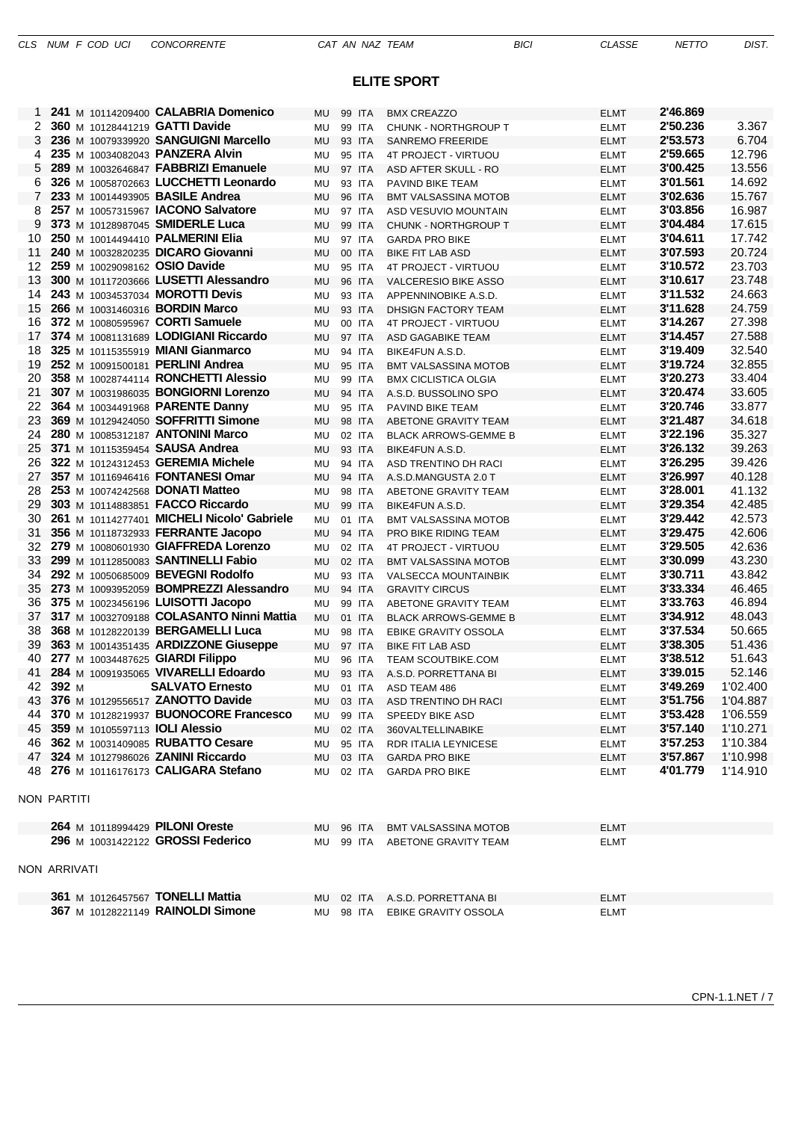### **ELITE SPORT**

|                      | 241 M 10114209400 CALABRIA Domenico            | MU        | 99 ITA | <b>BMX CREAZZO</b>             | ELMT        | 2'46.869 |          |
|----------------------|------------------------------------------------|-----------|--------|--------------------------------|-------------|----------|----------|
| $\mathbf{2}^{\circ}$ | 360 M 10128441219 GATTI Davide                 | MU        | 99 ITA | <b>CHUNK - NORTHGROUP T</b>    | <b>ELMT</b> | 2'50.236 | 3.367    |
| 3                    | 236 M 10079339920 SANGUIGNI Marcello           | <b>MU</b> | 93 ITA | <b>SANREMO FREERIDE</b>        | <b>ELMT</b> | 2'53.573 | 6.704    |
| 4                    | 235 M 10034082043 PANZERA Alvin                | <b>MU</b> | 95 ITA | 4T PROJECT - VIRTUOU           | <b>ELMT</b> | 2'59.665 | 12.796   |
| 5                    | 289 M 10032646847 FABBRIZI Emanuele            | <b>MU</b> | 97 ITA | ASD AFTER SKULL - RO           | <b>ELMT</b> | 3'00.425 | 13.556   |
| 6                    | 326 M 10058702663 LUCCHETTI Leonardo           | <b>MU</b> | 93 ITA | PAVIND BIKE TEAM               | <b>ELMT</b> | 3'01.561 | 14.692   |
| 7                    | 233 M 10014493905 BASILE Andrea                | <b>MU</b> | 96 ITA | <b>BMT VALSASSINA MOTOB</b>    | <b>ELMT</b> | 3'02.636 | 15.767   |
| 8                    | 257 M 10057315967 IACONO Salvatore             | <b>MU</b> | 97 ITA | ASD VESUVIO MOUNTAIN           | <b>ELMT</b> | 3'03.856 | 16.987   |
| 9                    | 373 M 10128987045 SMIDERLE Luca                | <b>MU</b> | 99 ITA | CHUNK - NORTHGROUP T           | <b>ELMT</b> | 3'04.484 | 17.615   |
| 10                   | 250 M 10014494410 PALMERINI Elia               | MU        | 97 ITA | <b>GARDA PRO BIKE</b>          | <b>ELMT</b> | 3'04.611 | 17.742   |
| 11                   | 240 M 10032820235 DICARO Giovanni              | <b>MU</b> | 00 ITA | <b>BIKE FIT LAB ASD</b>        | <b>ELMT</b> | 3'07.593 | 20.724   |
| 12                   | 259 M 10029098162 OSIO Davide                  | <b>MU</b> | 95 ITA | 4T PROJECT - VIRTUOU           | <b>ELMT</b> | 3'10.572 | 23.703   |
| 13                   | 300 M 10117203666 LUSETTI Alessandro           | <b>MU</b> | 96 ITA | <b>VALCERESIO BIKE ASSO</b>    | <b>ELMT</b> | 3'10.617 | 23.748   |
| 14                   | 243 M 10034537034 MOROTTI Devis                | MU        | 93 ITA | APPENNINOBIKE A.S.D.           | <b>ELMT</b> | 3'11.532 | 24.663   |
| 15                   | 266 M 10031460316 <b>BORDIN Marco</b>          | <b>MU</b> | 93 ITA | DHSIGN FACTORY TEAM            | <b>ELMT</b> | 3'11.628 | 24.759   |
| 16                   | 372 M 10080595967 CORTI Samuele                | <b>MU</b> | 00 ITA | 4T PROJECT - VIRTUOU           | <b>ELMT</b> | 3'14.267 | 27.398   |
| 17                   | 374 M 10081131689 LODIGIANI Riccardo           | <b>MU</b> | 97 ITA | ASD GAGABIKE TEAM              | <b>ELMT</b> | 3'14.457 | 27.588   |
| 18                   | 325 M 10115355919 MIANI Gianmarco              | MU        | 94 ITA | BIKE4FUN A.S.D.                | <b>ELMT</b> | 3'19.409 | 32.540   |
| 19                   | 252 M 10091500181 PERLINI Andrea               | <b>MU</b> | 95 ITA | <b>BMT VALSASSINA MOTOB</b>    | <b>ELMT</b> | 3'19.724 | 32.855   |
| 20                   | 358 M 10028744114 RONCHETTI Alessio            | <b>MU</b> | 99 ITA | <b>BMX CICLISTICA OLGIA</b>    | <b>ELMT</b> | 3'20.273 | 33.404   |
| 21                   | 307 M 10031986035 BONGIORNI Lorenzo            | <b>MU</b> | 94 ITA | A.S.D. BUSSOLINO SPO           | <b>ELMT</b> | 3'20.474 | 33.605   |
| 22                   | 364 M 10034491968 PARENTE Danny                | <b>MU</b> | 95 ITA | PAVIND BIKE TEAM               | <b>ELMT</b> | 3'20.746 | 33.877   |
| 23                   | 369 M 10129424050 SOFFRITTI Simone             | <b>MU</b> | 98 ITA | ABETONE GRAVITY TEAM           | <b>ELMT</b> | 3'21.487 | 34.618   |
| 24                   | <b>280 M 10085312187 ANTONINI Marco</b>        | <b>MU</b> | 02 ITA | <b>BLACK ARROWS-GEMME B</b>    | <b>ELMT</b> | 3'22.196 | 35.327   |
| 25                   | 371 M 10115359454 SAUSA Andrea                 | <b>MU</b> | 93 ITA | BIKE4FUN A.S.D.                | <b>ELMT</b> | 3'26.132 | 39.263   |
| 26                   | 322 M 10124312453 GEREMIA Michele              | MU        | 94 ITA | ASD TRENTINO DH RACI           | <b>ELMT</b> | 3'26.295 | 39.426   |
| 27                   | 357 M 10116946416 FONTANESI Omar               | <b>MU</b> | 94 ITA | A.S.D.MANGUSTA 2.0 T           | <b>ELMT</b> | 3'26.997 | 40.128   |
| 28                   | <b>253</b> M 10074242568 <b>DONATI Matteo</b>  | MU        | 98 ITA | ABETONE GRAVITY TEAM           | <b>ELMT</b> | 3'28.001 | 41.132   |
| 29                   | 303 M 10114883851 FACCO Riccardo               | <b>MU</b> | 99 ITA | BIKE4FUN A.S.D.                | <b>ELMT</b> | 3'29.354 | 42.485   |
| 30                   | 261 M 10114277401 MICHELI Nicolo' Gabriele     | <b>MU</b> | 01 ITA | <b>BMT VALSASSINA MOTOB</b>    | <b>ELMT</b> | 3'29.442 | 42.573   |
| 31                   | 356 M 10118732933 FERRANTE Jacopo              | <b>MU</b> | 94 ITA | PRO BIKE RIDING TEAM           | <b>ELMT</b> | 3'29.475 | 42.606   |
| 32                   | 279 M 10080601930 GIAFFREDA Lorenzo            | MU        | 02 ITA | 4T PROJECT - VIRTUOU           | <b>ELMT</b> | 3'29.505 | 42.636   |
| 33                   | 299 M 10112850083 SANTINELLI Fabio             | <b>MU</b> | 02 ITA | <b>BMT VALSASSINA MOTOB</b>    | <b>ELMT</b> | 3'30.099 | 43.230   |
| 34                   | 292 M 10050685009 BEVEGNI Rodolfo              | MU        | 93 ITA | <b>VALSECCA MOUNTAINBIK</b>    | <b>ELMT</b> | 3'30.711 | 43.842   |
| 35                   | 273 M 10093952059 BOMPREZZI Alessandro         | <b>MU</b> | 94 ITA | <b>GRAVITY CIRCUS</b>          | <b>ELMT</b> | 3'33.334 | 46.465   |
| 36                   | 375 M 10023456196 LUISOTTI Jacopo              | <b>MU</b> | 99 ITA | ABETONE GRAVITY TEAM           | <b>ELMT</b> | 3'33.763 | 46.894   |
| 37                   | 317 M 10032709188 COLASANTO Ninni Mattia       | <b>MU</b> | 01 ITA | <b>BLACK ARROWS-GEMME B</b>    | <b>ELMT</b> | 3'34.912 | 48.043   |
| 38                   | 368 M 10128220139 BERGAMELLI Luca              | MU        | 98 ITA | <b>EBIKE GRAVITY OSSOLA</b>    | <b>ELMT</b> | 3'37.534 | 50.665   |
| 39                   | 363 M 10014351435 ARDIZZONE Giuseppe           | MU        | 97 ITA | <b>BIKE FIT LAB ASD</b>        | <b>ELMT</b> | 3'38.305 | 51.436   |
| 40                   | 277 M 10034487625 GIARDI Filippo               | <b>MU</b> | 96 ITA | <b>TEAM SCOUTBIKE.COM</b>      | <b>ELMT</b> | 3'38.512 | 51.643   |
| 41                   | 284 M 10091935065 VIVARELLI Edoardo            | <b>MU</b> | 93 ITA | A.S.D. PORRETTANA BI           | <b>ELMT</b> | 3'39.015 | 52.146   |
|                      | 42 392 M<br><b>SALVATO Ernesto</b>             | MU        | 01 ITA | ASD TEAM 486                   | <b>ELMT</b> | 3'49.269 | 1'02.400 |
|                      | 43 376 M 10129556517 ZANOTTO Davide            | MU.       | 03 ITA | ASD TRENTINO DH RACI           | <b>ELMT</b> | 3'51.756 | 1'04.887 |
|                      | 44 370 M 10128219937 BUONOCORE Francesco       | MU        | 99 ITA | SPEEDY BIKE ASD                | ELMT        | 3'53.428 | 1'06.559 |
|                      | 45 359 M 10105597113 <b>IOLI Alessio</b>       | MU        | 02 ITA | 360VALTELLINABIKE              | <b>ELMT</b> | 3'57.140 | 1'10.271 |
|                      | 46 362 M 10031409085 RUBATTO Cesare            | MU        |        | 95 ITA RDR ITALIA LEYNICESE    | ELMT        | 3'57.253 | 1'10.384 |
|                      | 47 324 M 10127986026 ZANINI Riccardo           | MU        | 03 ITA | <b>GARDA PRO BIKE</b>          | <b>ELMT</b> | 3'57.867 | 1'10.998 |
|                      | 48 276 M 10116176173 CALIGARA Stefano          | MU        | 02 ITA | <b>GARDA PRO BIKE</b>          | <b>ELMT</b> | 4'01.779 | 1'14.910 |
|                      | NON PARTITI                                    |           |        |                                |             |          |          |
|                      | 264 M 10118994429 PILONI Oreste                | MU.       | 96 ITA | <b>BMT VALSASSINA MOTOB</b>    | <b>ELMT</b> |          |          |
|                      | 296 M 10031422122 GROSSI Federico              | MU        | 99 ITA | ABETONE GRAVITY TEAM           | <b>ELMT</b> |          |          |
|                      | NON ARRIVATI                                   |           |        |                                |             |          |          |
|                      | <b>361</b> M 10126457567 <b>TONELLI Mattia</b> | MU        |        | 02 ITA A.S.D. PORRETTANA BI    | <b>ELMT</b> |          |          |
|                      | 367 M 10128221149 RAINOLDI Simone              |           |        | MU 98 ITA EBIKE GRAVITY OSSOLA | <b>ELMT</b> |          |          |
|                      |                                                |           |        |                                |             |          |          |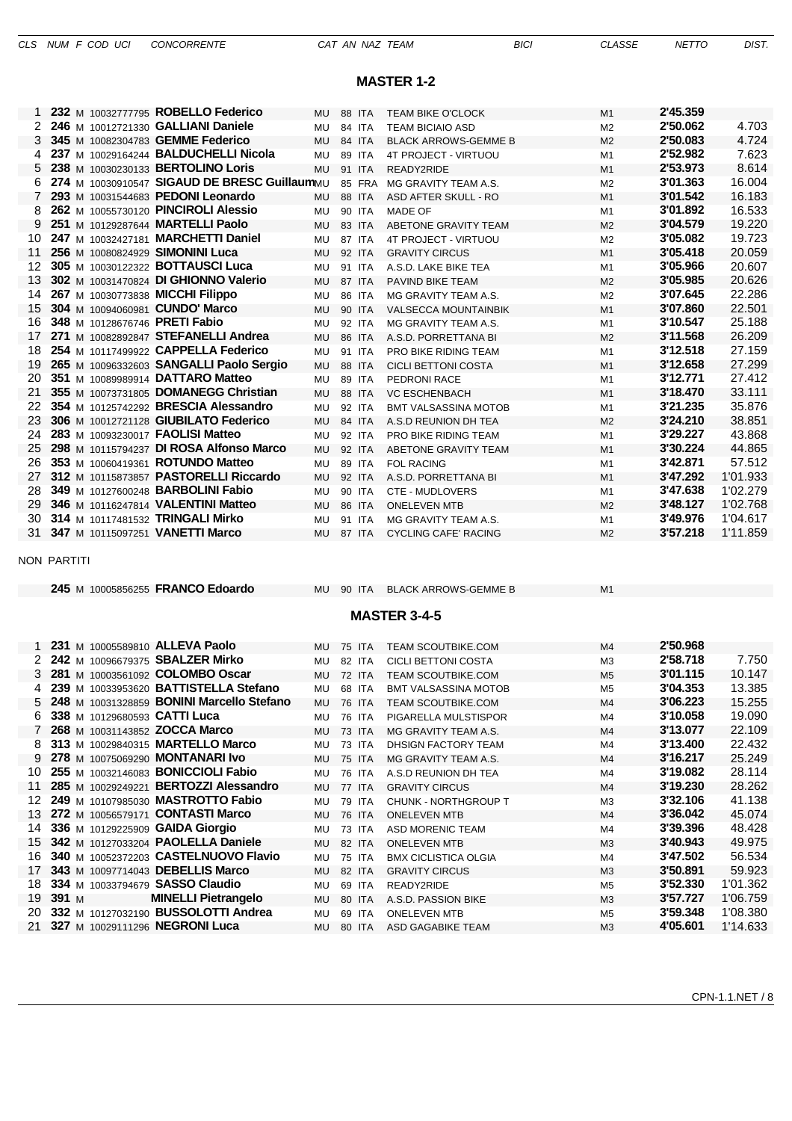|  |  | CLS NUM F COD UCI |  |  |  | <b>CONCORRENTE</b> |
|--|--|-------------------|--|--|--|--------------------|
|--|--|-------------------|--|--|--|--------------------|

### **MASTER 1-2**

|    |                                          | 232 M 10032777795 ROBELLO Federico           | MU        | 88 ITA |        | <b>TEAM BIKE O'CLOCK</b>    | M1             | 2'45.359 |          |
|----|------------------------------------------|----------------------------------------------|-----------|--------|--------|-----------------------------|----------------|----------|----------|
|    | 246 M 10012721330 GALLIANI Daniele       |                                              | MU        | 84 ITA |        | <b>TEAM BICIAIO ASD</b>     | M <sub>2</sub> | 2'50.062 | 4.703    |
| 3  | 345 M 10082304783 GEMME Federico         |                                              | MU        | 84 ITA |        | <b>BLACK ARROWS-GEMME B</b> | M <sub>2</sub> | 2'50.083 | 4.724    |
| 4  |                                          | 237 M 10029164244 BALDUCHELLI Nicola         | <b>MU</b> | 89 ITA |        | 4T PROJECT - VIRTUOU        | M1             | 2'52.982 | 7.623    |
| 5. | 238 M 10030230133 BERTOLINO Loris        |                                              | <b>MU</b> | 91 ITA |        | READY2RIDE                  | M1             | 2'53.973 | 8.614    |
| 6  |                                          | 274 M 10030910547 SIGAUD DE BRESC GuillaumMU |           |        | 85 FRA | MG GRAVITY TEAM A.S.        | M <sub>2</sub> | 3'01.363 | 16.004   |
| 7  |                                          | 293 M 10031544683 PEDONI Leonardo            | MU        | 88 ITA |        | ASD AFTER SKULL - RO        | M <sub>1</sub> | 3'01.542 | 16.183   |
| 8  |                                          | 262 M 10055730120 PINCIROLI Alessio          | MU        | 90 ITA |        | <b>MADE OF</b>              | M1             | 3'01.892 | 16.533   |
| 9  | 251 M 10129287644 MARTELLI Paolo         |                                              | <b>MU</b> | 83 ITA |        | ABETONE GRAVITY TEAM        | M <sub>2</sub> | 3'04.579 | 19.220   |
| 10 |                                          | 247 M 10032427181 MARCHETTI Daniel           | MU        | 87 ITA |        | 4T PROJECT - VIRTUOU        | M <sub>2</sub> | 3'05.082 | 19.723   |
| 11 | 256 M 10080824929 SIMONINI Luca          |                                              | <b>MU</b> | 92 ITA |        | <b>GRAVITY CIRCUS</b>       | M1             | 3'05.418 | 20.059   |
| 12 | 305 M 10030122322 BOTTAUSCI Luca         |                                              | MU        | 91 ITA |        | A.S.D. LAKE BIKE TEA        | M1             | 3'05.966 | 20.607   |
| 13 |                                          | 302 M 10031470824 DI GHIONNO Valerio         | <b>MU</b> | 87 ITA |        | PAVIND BIKE TEAM            | M <sub>2</sub> | 3'05.985 | 20.626   |
| 14 | 267 M 10030773838 MICCHI Filippo         |                                              | MU        | 86 ITA |        | MG GRAVITY TEAM A.S.        | M <sub>2</sub> | 3'07.645 | 22.286   |
| 15 | 304 M 10094060981 CUNDO' Marco           |                                              | <b>MU</b> | 90 ITA |        | <b>VALSECCA MOUNTAINBIK</b> | M1             | 3'07.860 | 22.501   |
| 16 | 348 M 10128676746 PRETI Fabio            |                                              | MU        | 92 ITA |        | MG GRAVITY TEAM A.S.        | M1             | 3'10.547 | 25.188   |
| 17 |                                          | 271 M 10082892847 STEFANELLI Andrea          | <b>MU</b> | 86 ITA |        | A.S.D. PORRETTANA BI        | M <sub>2</sub> | 3'11.568 | 26.209   |
| 18 |                                          | 254 M 10117499922 CAPPELLA Federico          | MU        | 91 ITA |        | PRO BIKE RIDING TEAM        | M1             | 3'12.518 | 27.159   |
| 19 |                                          | 265 M 10096332603 SANGALLI Paolo Sergio      | <b>MU</b> | 88 ITA |        | <b>CICLI BETTONI COSTA</b>  | M1             | 3'12.658 | 27.299   |
| 20 | 351 M 10089989914 DATTARO Matteo         |                                              | MU        | 89 ITA |        | PEDRONI RACE                | M1             | 3'12.771 | 27.412   |
| 21 |                                          | 355 M 10073731805 DOMANEGG Christian         | <b>MU</b> | 88 ITA |        | <b>VC ESCHENBACH</b>        | M1             | 3'18.470 | 33.111   |
| 22 |                                          | 354 M 10125742292 BRESCIA Alessandro         | MU        | 92 ITA |        | <b>BMT VALSASSINA MOTOB</b> | M <sub>1</sub> | 3'21.235 | 35.876   |
| 23 |                                          | 306 M 10012721128 GIUBILATO Federico         | <b>MU</b> | 84 ITA |        | A.S.D REUNION DH TEA        | M <sub>2</sub> | 3'24.210 | 38.851   |
| 24 | 283 M 10093230017 FAOLISI Matteo         |                                              | MU        | 92 ITA |        | PRO BIKE RIDING TEAM        | M1             | 3'29.227 | 43.868   |
| 25 |                                          | 298 M 10115794237 DI ROSA Alfonso Marco      | <b>MU</b> | 92 ITA |        | ABETONE GRAVITY TEAM        | M1             | 3'30.224 | 44.865   |
| 26 | 353 M 10060419361 ROTUNDO Matteo         |                                              | MU        | 89 ITA |        | <b>FOL RACING</b>           | M1             | 3'42.871 | 57.512   |
| 27 |                                          | 312 M 10115873857 PASTORELLI Riccardo        | <b>MU</b> | 92 ITA |        | A.S.D. PORRETTANA BI        | M1             | 3'47.292 | 1'01.933 |
| 28 | 349 M 10127600248 <b>BARBOLINI Fabio</b> |                                              | MU        | 90 ITA |        | <b>CTE - MUDLOVERS</b>      | M1             | 3'47.638 | 1'02.279 |
| 29 |                                          | 346 M 10116247814 VALENTINI Matteo           | <b>MU</b> | 86 ITA |        | <b>ONELEVEN MTB</b>         | M <sub>2</sub> | 3'48.127 | 1'02.768 |
| 30 | 314 M 10117481532 TRINGALI Mirko         |                                              | MU        | 91 ITA |        | MG GRAVITY TEAM A.S.        | M1             | 3'49.976 | 1'04.617 |
| 31 | 347 M 10115097251 VANETTI Marco          |                                              | <b>MU</b> | 87 ITA |        | <b>CYCLING CAFE' RACING</b> | M <sub>2</sub> | 3'57.218 | 1'11.859 |
|    |                                          |                                              |           |        |        |                             |                |          |          |

NON PARTITI

M 10005856255 **FRANCO Edoardo** MU 90 ITA BLACK ARROWS-GEMME B M1

#### **MASTER 3-4-5**

|    |       |  | 1 231 M 10005589810 ALLEVA Paolo            | MU        | 75 ITA        | <b>TEAM SCOUTBIKE.COM</b>   | M4             | 2'50.968 |          |
|----|-------|--|---------------------------------------------|-----------|---------------|-----------------------------|----------------|----------|----------|
|    |       |  | 2 242 M 10096679375 SBALZER Mirko           | MU        | 82 ITA        | CICLI BETTONI COSTA         | MЗ             | 2'58.718 | 7.750    |
|    |       |  | 3 281 M 10003561092 COLOMBO Oscar           | <b>MU</b> | 72 ITA        | <b>TEAM SCOUTBIKE.COM</b>   | M <sub>5</sub> | 3'01.115 | 10.147   |
|    |       |  | 4 239 M 10033953620 BATTISTELLA Stefano     | MU        | 68 ITA        | <b>BMT VALSASSINA MOTOB</b> | M5             | 3'04.353 | 13.385   |
|    |       |  | 5 248 M 10031328859 BONINI Marcello Stefano | MU        | 76 ITA        | <b>TEAM SCOUTBIKE.COM</b>   | M4             | 3'06.223 | 15.255   |
|    |       |  | 6 338 M 10129680593 CATTI Luca              | MU        | 76 ITA        | PIGARELLA MULSTISPOR        | M4             | 3'10.058 | 19.090   |
|    |       |  | 7 268 M 10031143852 ZOCCA Marco             | MU        | 73 ITA        | MG GRAVITY TEAM A.S.        | M4             | 3'13.077 | 22.109   |
|    |       |  | 8 313 M 10029840315 MARTELLO Marco          | MU        | 73 ITA        | <b>DHSIGN FACTORY TEAM</b>  | M4             | 3'13.400 | 22.432   |
|    |       |  | 9 278 M 10075069290 MONTANARI Ivo           | MU        | 75 ITA        | MG GRAVITY TEAM A.S.        | M4             | 3'16.217 | 25.249   |
|    |       |  | 10 255 M 10032146083 BONICCIOLI Fabio       | MU        | 76 ITA        | A.S.D REUNION DH TEA        | M4             | 3'19.082 | 28.114   |
|    |       |  | 11 285 M 10029249221 BERTOZZI Alessandro    | MU        | 77 ITA        | <b>GRAVITY CIRCUS</b>       | M4             | 3'19.230 | 28.262   |
|    |       |  | 12 249 M 10107985030 MASTROTTO Fabio        | MU        | 79 ITA        | CHUNK - NORTHGROUP T        | MЗ             | 3'32.106 | 41.138   |
|    |       |  | 13 272 M 10056579171 CONTASTI Marco         | MU        | 76 ITA        | <b>ONELEVEN MTB</b>         | M4             | 3'36.042 | 45.074   |
|    |       |  | 14 336 M 10129225909 GAIDA Giorgio          | MU        | 73 ITA        | ASD MORENIC TEAM            | M4             | 3'39.396 | 48.428   |
|    |       |  | 15 342 M 10127033204 PAOLELLA Daniele       | MU        | 82 ITA        | <b>ONELEVEN MTB</b>         | M <sub>3</sub> | 3'40.943 | 49.975   |
|    |       |  | 16 340 M 10052372203 CASTELNUOVO Flavio     | MU        | <b>75 ITA</b> | <b>BMX CICLISTICA OLGIA</b> | M4             | 3'47.502 | 56.534   |
|    |       |  | 17 343 M 10097714043 DEBELLIS Marco         | MU        | 82 ITA        | <b>GRAVITY CIRCUS</b>       | M <sub>3</sub> | 3'50.891 | 59.923   |
|    |       |  | 18 334 M 10033794679 SASSO Claudio          | MU        | 69 ITA        | READY2RIDE                  | M <sub>5</sub> | 3'52.330 | 1'01.362 |
| 19 | 391 M |  | <b>MINELLI Pietrangelo</b>                  | MU        | 80 ITA        | A.S.D. PASSION BIKE         | M <sub>3</sub> | 3'57.727 | 1'06.759 |
|    |       |  | 20 332 M 10127032190 BUSSOLOTTI Andrea      | MU        | 69 ITA        | <b>ONELEVEN MTB</b>         | M5             | 3'59.348 | 1'08.380 |
|    |       |  | 21 327 M 10029111296 NEGRONI Luca           | MU        | 80 ITA        | ASD GAGABIKE TEAM           | M <sub>3</sub> | 4'05.601 | 1'14.633 |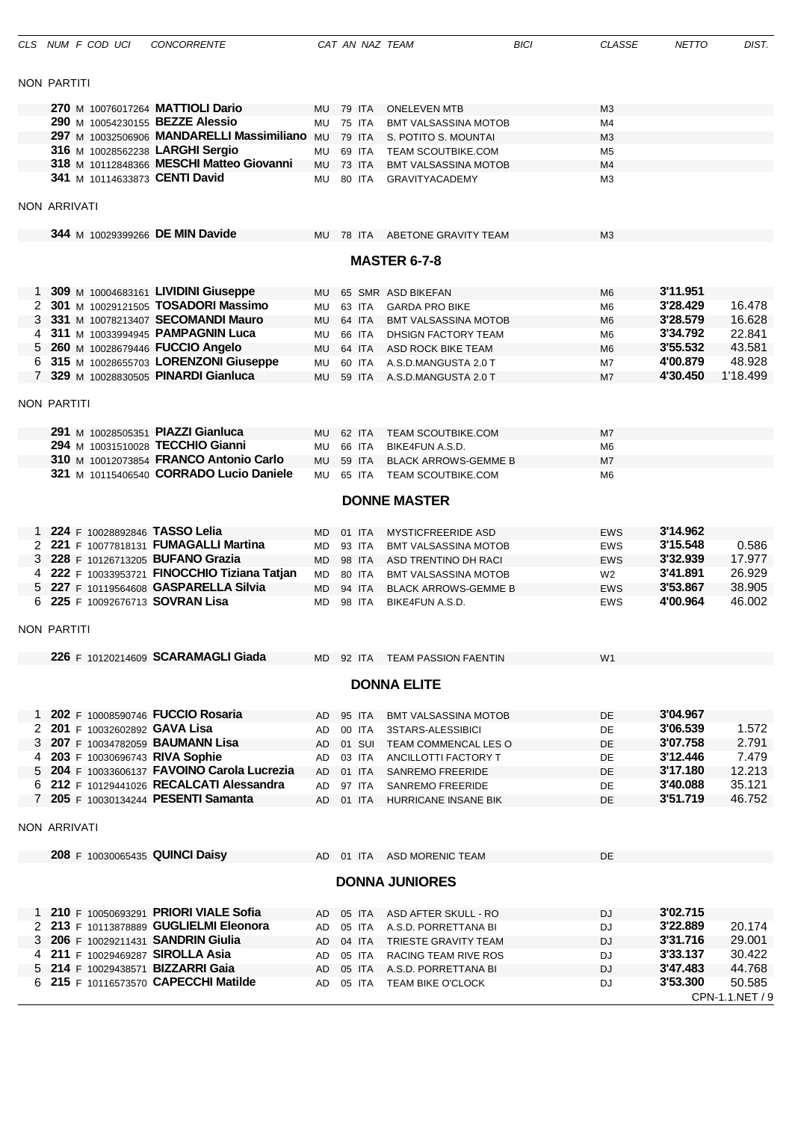|              | CLS NUM F COD UCI                   | <b>CONCORRENTE</b>                           |           |               | CAT AN NAZ TEAM             | <b>BICI</b> | <b>CLASSE</b>  | <b>NETTO</b> | DIST.           |
|--------------|-------------------------------------|----------------------------------------------|-----------|---------------|-----------------------------|-------------|----------------|--------------|-----------------|
|              |                                     |                                              |           |               |                             |             |                |              |                 |
|              | <b>NON PARTITI</b>                  |                                              |           |               |                             |             |                |              |                 |
|              | 270 M 10076017264 MATTIOLI Dario    |                                              | MU.       | 79 ITA        | <b>ONELEVEN MTB</b>         |             | M <sub>3</sub> |              |                 |
|              | 290 M 10054230155 BEZZE Alessio     |                                              | <b>MU</b> | <b>75 ITA</b> | <b>BMT VALSASSINA MOTOB</b> |             | M4             |              |                 |
|              |                                     | 297 M 10032506906 MANDARELLI Massimiliano MU |           | 79 ITA        | S. POTITO S. MOUNTAI        |             | M <sub>3</sub> |              |                 |
|              | 316 M 10028562238 LARGHI Sergio     |                                              | MU        | 69 ITA        | <b>TEAM SCOUTBIKE.COM</b>   |             | M <sub>5</sub> |              |                 |
|              |                                     | 318 M 10112848366 MESCHI Matteo Giovanni     |           |               |                             |             |                |              |                 |
|              |                                     |                                              | MU.       | 73 ITA        | <b>BMT VALSASSINA MOTOB</b> |             | M4             |              |                 |
|              | 341 M 10114633873 CENTI David       |                                              | MU        | 80 ITA        | <b>GRAVITYACADEMY</b>       |             | M <sub>3</sub> |              |                 |
|              | <b>NON ARRIVATI</b>                 |                                              |           |               |                             |             |                |              |                 |
|              | 344 M 10029399266 DE MIN Davide     |                                              | MU        |               | 78 ITA ABETONE GRAVITY TEAM |             | M <sub>3</sub> |              |                 |
|              |                                     |                                              |           |               | <b>MASTER 6-7-8</b>         |             |                |              |                 |
|              |                                     |                                              |           |               |                             |             |                |              |                 |
|              |                                     | 309 M 10004683161 LIVIDINI Giuseppe          | MU.       |               | 65 SMR ASD BIKEFAN          |             | M <sub>6</sub> | 3'11.951     |                 |
| 2            |                                     | 301 M 10029121505 TOSADORI Massimo           | MU        | 63 ITA        | <b>GARDA PRO BIKE</b>       |             | M <sub>6</sub> | 3'28.429     | 16.478          |
| 3            |                                     | 331 M 10078213407 SECOMANDI Mauro            | <b>MU</b> | 64 ITA        | <b>BMT VALSASSINA MOTOB</b> |             | M <sub>6</sub> | 3'28.579     | 16.628          |
| 4            |                                     | 311 M 10033994945 PAMPAGNIN Luca             | MU        | 66 ITA        | DHSIGN FACTORY TEAM         |             | M <sub>6</sub> | 3'34.792     | 22.841          |
| 5            | 260 M 10028679446 FUCCIO Angelo     |                                              | MU        | 64 ITA        | ASD ROCK BIKE TEAM          |             | M <sub>6</sub> | 3'55.532     | 43.581          |
|              |                                     | 6 315 M 10028655703 LORENZONI Giuseppe       | MU        | 60 ITA        | A.S.D.MANGUSTA 2.0 T        |             | M7             | 4'00.879     | 48.928          |
| $7^{\circ}$  |                                     | 329 M 10028830505 PINARDI Gianluca           |           |               |                             |             |                | 4'30.450     | 1'18.499        |
|              |                                     |                                              | <b>MU</b> |               | 59 ITA A.S.D.MANGUSTA 2.0 T |             | M7             |              |                 |
|              | <b>NON PARTITI</b>                  |                                              |           |               |                             |             |                |              |                 |
|              | 291 M 10028505351 PIAZZI Gianluca   |                                              |           | 62 ITA        | <b>TEAM SCOUTBIKE.COM</b>   |             |                |              |                 |
|              | 294 M 10031510028 TECCHIO Gianni    |                                              | <b>MU</b> |               |                             |             | M7             |              |                 |
|              |                                     |                                              | <b>MU</b> | 66 ITA        | BIKE4FUN A.S.D.             |             | M <sub>6</sub> |              |                 |
|              |                                     | 310 M 10012073854 FRANCO Antonio Carlo       | MU        | 59 ITA        | <b>BLACK ARROWS-GEMME B</b> |             | M7             |              |                 |
|              |                                     | 321 M 10115406540 CORRADO Lucio Daniele      | <b>MU</b> | 65 ITA        | <b>TEAM SCOUTBIKE.COM</b>   |             | M <sub>6</sub> |              |                 |
|              |                                     |                                              |           |               |                             |             |                |              |                 |
|              |                                     |                                              |           |               | <b>DONNE MASTER</b>         |             |                |              |                 |
|              | 224 F 10028892846 TASSO Lelia       |                                              | MD        | 01 ITA        | <b>MYSTICFREERIDE ASD</b>   |             | <b>EWS</b>     | 3'14.962     |                 |
| 2            |                                     | 221 F 10077818131 FUMAGALLI Martina          | <b>MD</b> | 93 ITA        | <b>BMT VALSASSINA MOTOB</b> |             | <b>EWS</b>     | 3'15.548     | 0.586           |
| 3            | 228 F 10126713205 BUFANO Grazia     |                                              |           | 98 ITA        |                             |             |                | 3'32.939     | 17.977          |
|              |                                     |                                              | MD.       |               | ASD TRENTINO DH RACI        |             | <b>EWS</b>     |              |                 |
|              |                                     | 222 F 10033953721 FINOCCHIO Tiziana Tatjan   | <b>MD</b> | 80 ITA        | <b>BMT VALSASSINA MOTOB</b> |             | W2             | 3'41.891     | 26.929          |
| 5            |                                     | 227 F 10119564608 GASPARELLA Silvia          | <b>MD</b> | 94 ITA        | <b>BLACK ARROWS-GEMME B</b> |             | <b>EWS</b>     | 3'53.867     | 38.905          |
| 6            | 225 F 10092676713 SOVRAN Lisa       |                                              | MD        | 98 ITA        | BIKE4FUN A.S.D.             |             | <b>EWS</b>     | 4'00.964     | 46.002          |
|              |                                     |                                              |           |               |                             |             |                |              |                 |
|              | NON PARTITI                         |                                              |           |               |                             |             |                |              |                 |
|              |                                     | 226 F 10120214609 SCARAMAGLI Giada           | MD.       |               | 92 ITA TEAM PASSION FAENTIN |             | W <sub>1</sub> |              |                 |
|              |                                     |                                              |           |               | <b>DONNA ELITE</b>          |             |                |              |                 |
|              | 202 F 10008590746 FUCCIO Rosaria    |                                              |           |               |                             |             |                |              |                 |
| $\mathbf{1}$ |                                     |                                              | AD        | 95 ITA        | BMT VALSASSINA MOTOB        |             | DE             | 3'04.967     |                 |
| $\mathbf{2}$ | 201 F 10032602892 GAVA Lisa         |                                              | AD        | 00 ITA        | 3STARS-ALESSIBICI           |             | <b>DE</b>      | 3'06.539     | 1.572           |
| 3            | 207 F 10034782059 BAUMANN Lisa      |                                              | AD        |               | 01 SUI TEAM COMMENCAL LES O |             | DE             | 3'07.758     | 2.791           |
| 4            | 203 F 10030696743 RIVA Sophie       |                                              | AD        | 03 ITA        | ANCILLOTTI FACTORY T        |             | DE             | 3'12.446     | 7.479           |
|              |                                     | 5 204 F 10033606137 FAVOINO Carola Lucrezia  | AD        | 01 ITA        | <b>SANREMO FREERIDE</b>     |             | DE             | 3'17.180     | 12.213          |
|              |                                     | 6 212 F 10129441026 RECALCATI Alessandra     | AD        | 97 ITA        | <b>SANREMO FREERIDE</b>     |             | DE             | 3'40.088     | 35.121          |
|              | 7 205 F 10030134244 PESENTI Samanta |                                              | AD        |               | 01 ITA HURRICANE INSANE BIK |             | <b>DE</b>      | 3'51.719     | 46.752          |
|              |                                     |                                              |           |               |                             |             |                |              |                 |
|              | <b>NON ARRIVATI</b>                 |                                              |           |               |                             |             |                |              |                 |
|              | 208 F 10030065435 QUINCI Daisy      |                                              |           |               | AD 01 ITA ASD MORENIC TEAM  |             | DE             |              |                 |
|              |                                     |                                              |           |               | <b>DONNA JUNIORES</b>       |             |                |              |                 |
|              |                                     |                                              |           |               |                             |             |                |              |                 |
|              |                                     | 1 210 F 10050693291 PRIORI VIALE Sofia       | AD.       | 05 ITA        | ASD AFTER SKULL - RO        |             | DJ             | 3'02.715     |                 |
|              |                                     | 2 213 F 10113878889 GUGLIELMI Eleonora       | AD        | 05 ITA        | A.S.D. PORRETTANA BI        |             | DJ             | 3'22.889     | 20.174          |
|              | 3 206 F 10029211431 SANDRIN Giulia  |                                              | AD        | 04 ITA        | TRIESTE GRAVITY TEAM        |             | <b>DJ</b>      | 3'31.716     | 29.001          |
|              | 4 211 F 10029469287 SIROLLA Asia    |                                              | AD        | 05 ITA        | RACING TEAM RIVE ROS        |             | DJ             | 3'33.137     | 30.422          |
|              | 5 214 F 10029438571 BIZZARRI Gaia   |                                              | AD        | 05 ITA        | A.S.D. PORRETTANA BI        |             | <b>DJ</b>      | 3'47.483     | 44.768          |
|              |                                     | 6 215 F 10116573570 CAPECCHI Matilde         | AD        |               | 05 ITA TEAM BIKE O'CLOCK    |             | DJ             | 3'53.300     | 50.585          |
|              |                                     |                                              |           |               |                             |             |                |              | CPN-1.1.NET / 9 |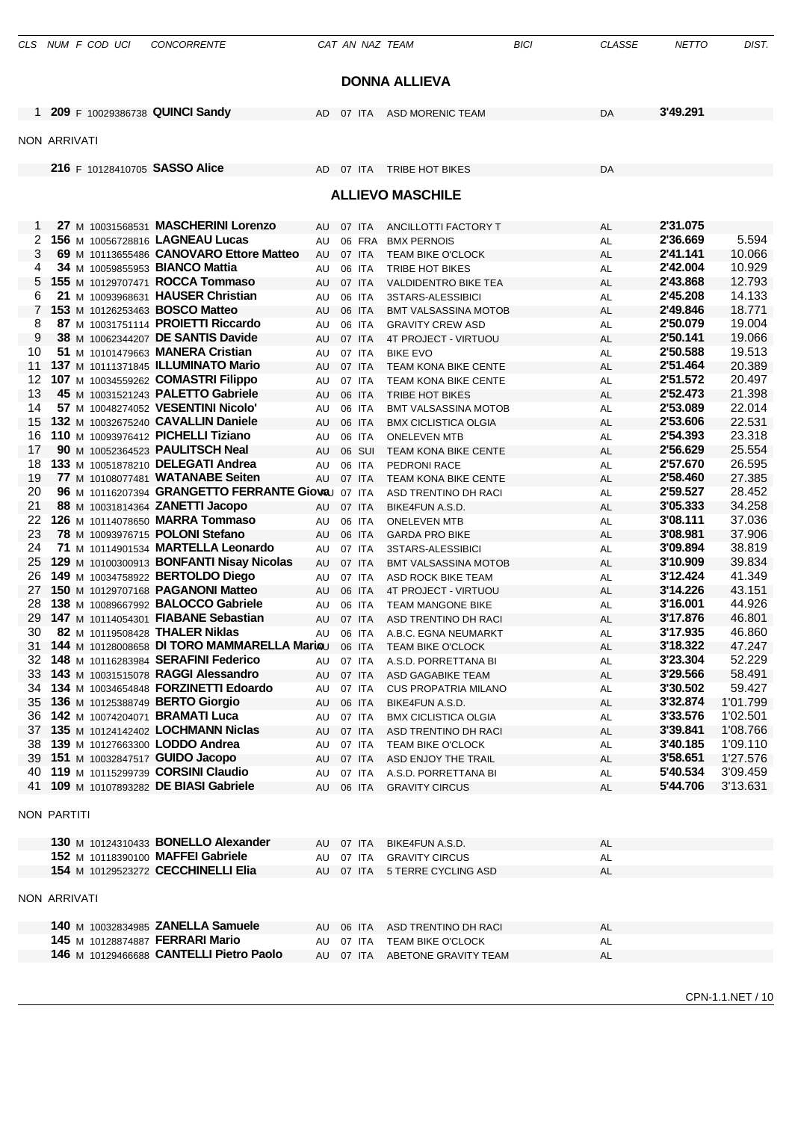|                     |  | CLS NUM F COD UCI | <b>CONCORRENTE</b>                                                                   |           |                  | CAT AN NAZ TEAM                                            | <b>BICI</b> | <b>CLASSE</b>   | <b>NETTO</b>         | DIST.                |
|---------------------|--|-------------------|--------------------------------------------------------------------------------------|-----------|------------------|------------------------------------------------------------|-------------|-----------------|----------------------|----------------------|
|                     |  |                   |                                                                                      |           |                  |                                                            |             |                 |                      |                      |
|                     |  |                   |                                                                                      |           |                  | <b>DONNA ALLIEVA</b>                                       |             |                 |                      |                      |
|                     |  |                   | 1 209 F 10029386738 QUINCI Sandy                                                     | AD        | 07 ITA           | <b>ASD MORENIC TEAM</b>                                    |             | DA              | 3'49.291             |                      |
|                     |  |                   |                                                                                      |           |                  |                                                            |             |                 |                      |                      |
| <b>NON ARRIVATI</b> |  |                   |                                                                                      |           |                  |                                                            |             |                 |                      |                      |
|                     |  |                   | 216 F 10128410705 SASSO Alice                                                        | AD 07 ITA |                  | <b>TRIBE HOT BIKES</b>                                     |             | DA              |                      |                      |
|                     |  |                   |                                                                                      |           |                  | <b>ALLIEVO MASCHILE</b>                                    |             |                 |                      |                      |
|                     |  |                   |                                                                                      |           |                  |                                                            |             |                 |                      |                      |
| 1                   |  |                   | 27 M 10031568531 MASCHERINI Lorenzo                                                  | AU        | 07 ITA           | ANCILLOTTI FACTORY T                                       |             | AL              | 2'31.075             |                      |
| 2<br>3              |  |                   | 156 M 10056728816 LAGNEAU Lucas<br>69 M 10113655486 CANOVARO Ettore Matteo           | AU<br>AU  | 06 FRA<br>07 ITA | <b>BMX PERNOIS</b><br><b>TEAM BIKE O'CLOCK</b>             |             | AL<br>AL        | 2'36.669<br>2'41.141 | 5.594<br>10.066      |
| 4                   |  |                   | 34 M 10059855953 BIANCO Mattia                                                       | AU        | 06 ITA           | TRIBE HOT BIKES                                            |             | AL              | 2'42.004             | 10.929               |
| 5.                  |  |                   | 155 M 10129707471 ROCCA Tommaso                                                      | AU        | 07 ITA           | <b>VALDIDENTRO BIKE TEA</b>                                |             | AL              | 2'43.868             | 12.793               |
| 6                   |  |                   | 21 M 10093968631 HAUSER Christian                                                    | AU        | 06 ITA           | 3STARS-ALESSIBICI                                          |             | AL              | 2'45.208             | 14.133               |
| $\overline{7}$      |  |                   | 153 M 10126253463 BOSCO Matteo                                                       | AU        | 06 ITA           | <b>BMT VALSASSINA MOTOB</b>                                |             | AL              | 2'49.846             | 18.771               |
| 8<br>9              |  |                   | 87 M 10031751114 PROIETTI Riccardo<br>38 M 10062344207 DE SANTIS Davide              | AU<br>AU  | 06 ITA<br>07 ITA | <b>GRAVITY CREW ASD</b><br>4T PROJECT - VIRTUOU            |             | AL<br>AL        | 2'50.079<br>2'50.141 | 19.004<br>19.066     |
| 10                  |  |                   | 51 M 10101479663 MANERA Cristian                                                     | AU        | 07 ITA           | <b>BIKE EVO</b>                                            |             | AL              | 2'50.588             | 19.513               |
| 11                  |  |                   | 137 M 10111371845 ILLUMINATO Mario                                                   | AU        | 07 ITA           | <b>TEAM KONA BIKE CENTE</b>                                |             | AL              | 2'51.464             | 20.389               |
| 12                  |  |                   | 107 M 10034559262 COMASTRI Filippo                                                   | AU        | 07 ITA           | TEAM KONA BIKE CENTE                                       |             | AL              | 2'51.572             | 20.497               |
| 13                  |  |                   | 45 M 10031521243 PALETTO Gabriele                                                    | AU        | 06 ITA           | <b>TRIBE HOT BIKES</b>                                     |             | AL              | 2'52.473             | 21.398               |
| 14<br>15            |  |                   | 57 M 10048274052 VESENTINI Nicolo'<br>132 M 10032675240 CAVALLIN Daniele             | AU<br>AU  | 06 ITA<br>06 ITA | <b>BMT VALSASSINA MOTOB</b><br><b>BMX CICLISTICA OLGIA</b> |             | AL<br>AL        | 2'53.089<br>2'53.606 | 22.014<br>22.531     |
| 16                  |  |                   | 110 M 10093976412 PICHELLI Tiziano                                                   | AU        | 06 ITA           | <b>ONELEVEN MTB</b>                                        |             | AL              | 2'54.393             | 23.318               |
| 17                  |  |                   | 90 M 10052364523 PAULITSCH Neal                                                      | AU        | 06 SUI           | TEAM KONA BIKE CENTE                                       |             | <b>AL</b>       | 2'56.629             | 25.554               |
| 18                  |  |                   | 133 M 10051878210 DELEGATI Andrea                                                    | AU        | 06 ITA           | PEDRONI RACE                                               |             | AL              | 2'57.670             | 26.595               |
| 19                  |  |                   | 77 M 10108077481 WATANABE Seiten                                                     | AU        | 07 ITA           | TEAM KONA BIKE CENTE                                       |             | AL              | 2'58.460             | 27.385               |
| 20<br>21            |  |                   | 96 M 10116207394 GRANGETTO FERRANTE Gioval 07 ITA<br>88 M 10031814364 ZANETTI Jacopo | AU        | 07 ITA           | ASD TRENTINO DH RACI<br>BIKE4FUN A.S.D.                    |             | AL<br>AL        | 2'59.527<br>3'05.333 | 28.452<br>34.258     |
| 22                  |  |                   | 126 M 10114078650 MARRA Tommaso                                                      | AU        | 06 ITA           | <b>ONELEVEN MTB</b>                                        |             | AL              | 3'08.111             | 37.036               |
| 23                  |  |                   | 78 M 10093976715 POLONI Stefano                                                      | AU        | 06 ITA           | <b>GARDA PRO BIKE</b>                                      |             | AL              | 3'08.981             | 37.906               |
| 24                  |  |                   | 71 M 10114901534 MARTELLA Leonardo                                                   | AU        | 07 ITA           | 3STARS-ALESSIBICI                                          |             | AL              | 3'09.894             | 38.819               |
| 25                  |  |                   | 129 M 10100300913 BONFANTI Nisay Nicolas                                             | AU        | 07 ITA           | <b>BMT VALSASSINA MOTOB</b>                                |             | AL              | 3'10.909             | 39.834               |
| 26<br>27            |  |                   | 149 M 10034758922 BERTOLDO Diego<br>150 M 10129707168 PAGANONI Matteo                | AU<br>AU  | 07 ITA<br>06 ITA | ASD ROCK BIKE TEAM<br>4T PROJECT - VIRTUOU                 |             | AL<br><b>AL</b> | 3'12.424<br>3'14.226 | 41.349<br>43.151     |
| 28                  |  |                   | 138 M 10089667992 BALOCCO Gabriele                                                   | AU        | 06 ITA           | <b>TEAM MANGONE BIKE</b>                                   |             | <b>AL</b>       | 3'16.001             | 44.926               |
|                     |  |                   | 29 147 M 10114054301 FIABANE Sebastian                                               | AU        | 07 ITA           | ASD TRENTINO DH RACI                                       |             | AL              | 3'17.876             | 46.801               |
| 30                  |  |                   | 82 M 10119508428 THALER Niklas                                                       | AU        | 06 ITA           | A.B.C. EGNA NEUMARKT                                       |             | AL              | 3'17.935             | 46.860               |
|                     |  |                   | 31 144 M 10128008658 DI TORO MAMMARELLA Mariou                                       |           | 06 ITA           | <b>TEAM BIKE O'CLOCK</b>                                   |             | AL              | 3'18.322             | 47.247               |
|                     |  |                   | 32 148 M 10116283984 SERAFINI Federico<br>33 143 M 10031515078 RAGGI Alessandro      | AU<br>AU  | 07 ITA<br>07 ITA | A.S.D. PORRETTANA BI<br>ASD GAGABIKE TEAM                  |             | <b>AL</b><br>AL | 3'23.304<br>3'29.566 | 52.229<br>58.491     |
|                     |  |                   | 34 134 M 10034654848 FORZINETTI Edoardo                                              | AU        | 07 ITA           | <b>CUS PROPATRIA MILANO</b>                                |             | AL              | 3'30.502             | 59.427               |
|                     |  |                   | 35 136 M 10125388749 BERTO Giorgio                                                   | AU        | 06 ITA           | BIKE4FUN A.S.D.                                            |             | <b>AL</b>       | 3'32.874             | 1'01.799             |
|                     |  |                   | 36 142 M 10074204071 BRAMATI Luca                                                    | AU        | 07 ITA           | <b>BMX CICLISTICA OLGIA</b>                                |             | <b>AL</b>       | 3'33.576             | 1'02.501             |
|                     |  |                   | 37 135 M 10124142402 LOCHMANN Niclas                                                 | AU        | 07 ITA           | ASD TRENTINO DH RACI                                       |             | <b>AL</b>       | 3'39.841             | 1'08.766             |
|                     |  |                   | 38 139 M 10127663300 LODDO Andrea<br>39 151 M 10032847517 GUIDO Jacopo               | AU<br>AU  | 07 ITA<br>07 ITA | TEAM BIKE O'CLOCK<br>ASD ENJOY THE TRAIL                   |             | AL<br><b>AL</b> | 3'40.185<br>3'58.651 | 1'09.110<br>1'27.576 |
|                     |  |                   | 40 119 M 10115299739 CORSINI Claudio                                                 | AU        | 07 ITA           | A.S.D. PORRETTANA BI                                       |             | AL              | 5'40.534             | 3'09.459             |
|                     |  |                   | 41 109 M 10107893282 DE BIASI Gabriele                                               | AU        | 06 ITA           | <b>GRAVITY CIRCUS</b>                                      |             | AL              | 5'44.706             | 3'13.631             |
| <b>NON PARTITI</b>  |  |                   |                                                                                      |           |                  |                                                            |             |                 |                      |                      |
|                     |  |                   | 130 M 10124310433 BONELLO Alexander                                                  | AU        | 07 ITA           | BIKE4FUN A.S.D.                                            |             | AL              |                      |                      |
|                     |  |                   | 152 M 10118390100 MAFFEI Gabriele                                                    | AU        | 07 ITA           | <b>GRAVITY CIRCUS</b>                                      |             | AL              |                      |                      |
|                     |  |                   | 154 M 10129523272 CECCHINELLI Elia                                                   | AU        | 07 ITA           | 5 TERRE CYCLING ASD                                        |             | <b>AL</b>       |                      |                      |
| <b>NON ARRIVATI</b> |  |                   |                                                                                      |           |                  |                                                            |             |                 |                      |                      |
|                     |  |                   | 140 M 10032834985 ZANELLA Samuele                                                    | AU        | 06 ITA           | ASD TRENTINO DH RACI                                       |             | AL              |                      |                      |
|                     |  |                   | 145 M 10128874887 FERRARI Mario                                                      | AU        | 07 ITA           | <b>TEAM BIKE O'CLOCK</b>                                   |             | AL              |                      |                      |
|                     |  |                   | 146 M 10129466688 CANTELLI Pietro Paolo                                              |           |                  | AU 07 ITA ABETONE GRAVITY TEAM                             |             | <b>AL</b>       |                      |                      |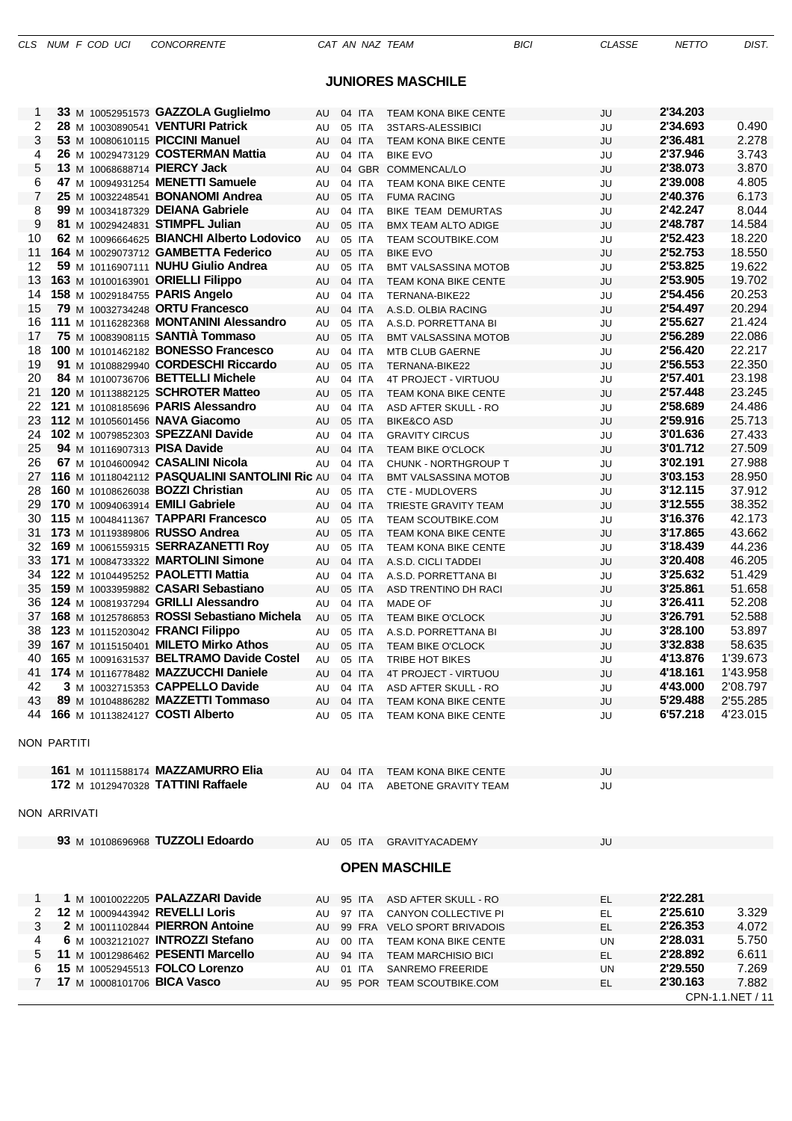## **JUNIORES MASCHILE**

| 1            |  | 33 M 10052951573 GAZZOLA Guglielmo                                      | AU        | 04 ITA | <b>TEAM KONA BIKE CENTE</b>                      | JU  | 2'34.203             |                  |
|--------------|--|-------------------------------------------------------------------------|-----------|--------|--------------------------------------------------|-----|----------------------|------------------|
| 2            |  | 28 M 10030890541 VENTURI Patrick                                        | AU        | 05 ITA | 3STARS-ALESSIBICI                                | JU  | 2'34.693             | 0.490            |
| 3            |  | 53 M 10080610115 PICCINI Manuel                                         | AU        | 04 ITA | <b>TEAM KONA BIKE CENTE</b>                      | JU  | 2'36.481             | 2.278            |
| 4            |  | 26 M 10029473129 COSTERMAN Mattia                                       | AU        | 04 ITA | <b>BIKE EVO</b>                                  | JU  | 2'37.946             | 3.743            |
| 5            |  | 13 M 10068688714 PIERCY Jack                                            | AU        |        | 04 GBR COMMENCAL/LO                              | JU  | 2'38.073             | 3.870            |
| 6            |  | 47 M 10094931254 MENETTI Samuele                                        | AU        | 04 ITA | <b>TEAM KONA BIKE CENTE</b>                      | JU  | 2'39.008             | 4.805            |
| 7            |  | 25 M 10032248541 BONANOMI Andrea                                        | AU        | 05 ITA | <b>FUMA RACING</b>                               | JU  | 2'40.376             | 6.173            |
| 8            |  | 99 M 10034187329 DEIANA Gabriele                                        | AU        | 04 ITA | BIKE TEAM DEMURTAS                               | JU  | 2'42.247             | 8.044            |
| 9            |  | 81 M 10029424831 STIMPFL Julian                                         | AU        | 05 ITA | <b>BMX TEAM ALTO ADIGE</b>                       | JU  | 2'48.787             | 14.584           |
| 10           |  | 62 M 10096664625 BIANCHI Alberto Lodovico                               | AU        | 05 ITA | <b>TEAM SCOUTBIKE.COM</b>                        | JU  | 2'52.423             | 18.220           |
| 11           |  | 164 M 10029073712 GAMBETTA Federico                                     | AU        | 05 ITA | <b>BIKE EVO</b>                                  | JU  | 2'52.753             | 18.550           |
| 12           |  | 59 M 10116907111 NUHU Giulio Andrea                                     | AU        | 05 ITA | <b>BMT VALSASSINA MOTOB</b>                      | JU  | 2'53.825             | 19.622           |
| 13           |  | 163 M 10100163901 ORIELLI Filippo                                       | AU        | 04 ITA | <b>TEAM KONA BIKE CENTE</b>                      | JU  | 2'53.905             | 19.702           |
| 14           |  | 158 M 10029184755 PARIS Angelo                                          | AU        | 04 ITA | TERNANA-BIKE22                                   | JU  | 2'54.456             | 20.253           |
| 15           |  | 79 M 10032734248 ORTU Francesco                                         | AU        | 04 ITA | A.S.D. OLBIA RACING                              | JU  | 2'54.497             | 20.294           |
| 16           |  | 111 M 10116282368 MONTANINI Alessandro                                  | AU        | 05 ITA | A.S.D. PORRETTANA BI                             | JU  | 2'55.627             | 21.424           |
| 17           |  | 75 M 10083908115 SANTIA Tommaso                                         | AU        | 05 ITA | <b>BMT VALSASSINA MOTOB</b>                      | JU  | 2'56.289             | 22.086           |
| 18           |  | 100 M 10101462182 BONESSO Francesco                                     | AU        | 04 ITA | <b>MTB CLUB GAERNE</b>                           | JU  | 2'56.420             | 22.217           |
| 19           |  | 91 M 10108829940 CORDESCHI Riccardo                                     | AU        | 05 ITA | TERNANA-BIKE22                                   | JU  | 2'56.553             | 22.350           |
| 20           |  | 84 M 10100736706 BETTELLI Michele                                       | AU        | 04 ITA | 4T PROJECT - VIRTUOU                             | JU  | 2'57.401             | 23.198           |
| 21           |  | 120 M 10113882125 SCHROTER Matteo                                       | AU        | 05 ITA | <b>TEAM KONA BIKE CENTE</b>                      | JU  | 2'57.448             | 23.245           |
| 22           |  | 121 M 10108185696 PARIS Alessandro                                      | AU        | 04 ITA | ASD AFTER SKULL - RO                             | JU  | 2'58.689             | 24.486           |
| 23           |  | 112 M 10105601456 NAVA Giacomo                                          | AU        | 05 ITA | <b>BIKE&amp;CO ASD</b>                           | JU  | 2'59.916             | 25.713           |
| 24           |  | 102 M 10079852303 SPEZZANI Davide                                       | AU        | 04 ITA | <b>GRAVITY CIRCUS</b>                            | JU  | 3'01.636             | 27.433           |
| 25           |  | 94 M 10116907313 PISA Davide                                            | AU.       | 04 ITA | <b>TEAM BIKE O'CLOCK</b>                         | JU  | 3'01.712             | 27.509           |
| 26           |  | 67 M 10104600942 CASALINI Nicola                                        | AU        | 04 ITA | <b>CHUNK - NORTHGROUP T</b>                      | JU  | 3'02.191             | 27.988           |
| 27           |  | 116 M 10118042112 PASQUALINI SANTOLINI Ric AU                           |           | 04 ITA | <b>BMT VALSASSINA MOTOB</b>                      | JU  | 3'03.153             | 28.950           |
| 28           |  | 160 M 10108626038 BOZZI Christian                                       | AU        | 05 ITA | CTE - MUDLOVERS                                  | JU  | 3'12.115             | 37.912           |
| 29           |  | 170 M 10094063914 <b>EMILI Gabriele</b>                                 | AU        | 04 ITA | TRIESTE GRAVITY TEAM                             | JU  | 3'12.555             | 38.352           |
| 30           |  | 115 M 10048411367 TAPPARI Francesco                                     | AU        | 05 ITA | <b>TEAM SCOUTBIKE.COM</b>                        | JU  | 3'16.376             | 42.173           |
| 31           |  | 173 M 10119389806 RUSSO Andrea                                          | AU.       | 05 ITA | <b>TEAM KONA BIKE CENTE</b>                      | JU  | 3'17.865             | 43.662           |
| 32           |  | 169 M 10061559315 SERRAZANETTI Roy                                      | AU        | 05 ITA | <b>TEAM KONA BIKE CENTE</b>                      | JU  | 3'18.439             | 44.236           |
| 33           |  | 171 M 10084733322 MARTOLINI Simone                                      | AU        | 04 ITA | A.S.D. CICLI TADDEI                              | JU  | 3'20.408             | 46.205           |
| 34           |  | 122 M 10104495252 PAOLETTI Mattia                                       | AU        | 04 ITA | A.S.D. PORRETTANA BI                             | JU  | 3'25.632             | 51.429           |
| 35           |  | 159 M 10033959882 CASARI Sebastiano                                     | AU        | 05 ITA |                                                  | JU  | 3'25.861             | 51.658           |
| 36           |  | 124 M 10081937294 GRILLI Alessandro                                     | AU        | 04 ITA | ASD TRENTINO DH RACI<br><b>MADE OF</b>           | JU  | 3'26.411             | 52.208           |
| 37           |  | 168 M 10125786853 ROSSI Sebastiano Michela                              | AU        | 05 ITA |                                                  | JU  | 3'26.791             | 52.588           |
| 38           |  | 123 M 10115203042 FRANCI Filippo                                        |           | 05 ITA | <b>TEAM BIKE O'CLOCK</b><br>A.S.D. PORRETTANA BI |     | 3'28.100             | 53.897           |
| 39           |  | 167 M 10115150401 MILETO Mirko Athos                                    | AU        | 05 ITA | <b>TEAM BIKE O'CLOCK</b>                         | JU  | 3'32.838             | 58.635           |
| 40           |  | 165 M 10091631537 BELTRAMO Davide Costel                                | AU        |        |                                                  | JU  | 4'13.876             | 1'39.673         |
| 41           |  | 174 M 10116778482 MAZZUCCHI Daniele                                     | AU        | 05 ITA | TRIBE HOT BIKES                                  | JU  | 4'18.161             | 1'43.958         |
| 42           |  |                                                                         | AU        | 04 ITA | 4T PROJECT - VIRTUOU                             | JU  | 4'43.000             | 2'08.797         |
|              |  | 3 M 10032715353 CAPPELLO Davide<br>43 89 M 10104886282 MAZZETTI Tommaso | AU        | 04 ITA | ASD AFTER SKULL - RO                             | JU  |                      |                  |
|              |  | 44 166 M 10113824127 COSTI Alberto                                      | AU        | 04 ITA | TEAM KONA BIKE CENTE                             | JU  | 5'29.488<br>6'57.218 | 2'55.285         |
|              |  |                                                                         | AU 05 ITA |        | TEAM KONA BIKE CENTE                             | JU  |                      | 4'23.015         |
| NON PARTITI  |  |                                                                         |           |        |                                                  |     |                      |                  |
|              |  | <b>161 M 10111588174 MAZZAMURRO Elia</b>                                | AU        | 04 ITA | TEAM KONA BIKE CENTE                             | JU  |                      |                  |
|              |  | 172 M 10129470328 TATTINI Raffaele                                      | AU        | 04 ITA | ABETONE GRAVITY TEAM                             | JU  |                      |                  |
|              |  |                                                                         |           |        |                                                  |     |                      |                  |
| NON ARRIVATI |  |                                                                         |           |        |                                                  |     |                      |                  |
|              |  | 93 M 10108696968 TUZZOLI Edoardo                                        | AU        |        | 05 ITA GRAVITYACADEMY                            | JU  |                      |                  |
|              |  |                                                                         |           |        | <b>OPEN MASCHILE</b>                             |     |                      |                  |
|              |  |                                                                         |           |        |                                                  |     |                      |                  |
| 1            |  | 1 M 10010022205 PALAZZARI Davide                                        | AU        | 95 ITA | ASD AFTER SKULL - RO                             | EL. | 2'22.281             |                  |
| 2            |  | 12 M 10009443942 REVELLI Loris                                          | AU        | 97 ITA | CANYON COLLECTIVE PI                             | EL  | 2'25.610             | 3.329            |
| 3            |  | 2 M 10011102844 PIERRON Antoine                                         | AU        |        | 99 FRA VELO SPORT BRIVADOIS                      | EL  | 2'26.353             | 4.072            |
| 4            |  | 6 M 10032121027 INTROZZI Stefano                                        | AU        | 00 ITA | TEAM KONA BIKE CENTE                             | UN  | 2'28.031             | 5.750            |
| 5            |  | 11 M 10012986462 PESENTI Marcello                                       | AU        | 94 ITA | <b>TEAM MARCHISIO BICI</b>                       | EL  | 2'28.892             | 6.611            |
| 6            |  | 15 M 10052945513 FOLCO Lorenzo                                          | AU        | 01 ITA | SANREMO FREERIDE                                 | UN  | 2'29.550             | 7.269            |
| 7            |  | 17 M 10008101706 BICA Vasco                                             | AU        |        | 95 POR TEAM SCOUTBIKE.COM                        | EL  | 2'30.163             | 7.882            |
|              |  |                                                                         |           |        |                                                  |     |                      | CPN-1.1.NET / 11 |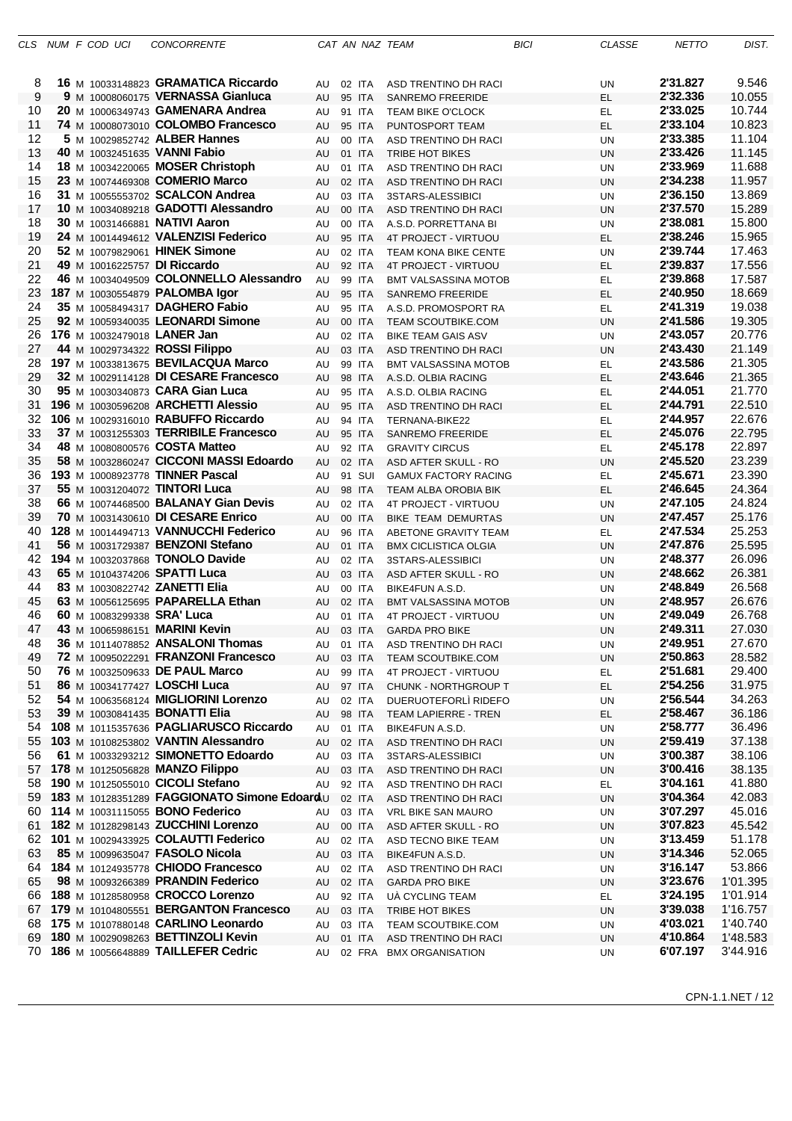|          |  | CLS NUM F COD UCI          | <b>CONCORRENTE</b>                                                               |          |                  | CAT AN NAZ TEAM                                        | <b>BICI</b> | <b>CLASSE</b>   | <b>NETTO</b>         | DIST.            |
|----------|--|----------------------------|----------------------------------------------------------------------------------|----------|------------------|--------------------------------------------------------|-------------|-----------------|----------------------|------------------|
|          |  |                            |                                                                                  |          |                  |                                                        |             |                 |                      |                  |
| 8        |  |                            | 16 M 10033148823 GRAMATICA Riccardo                                              | AU       | 02 ITA           | ASD TRENTINO DH RACI                                   |             | UN              | 2'31.827             | 9.546            |
| 9        |  |                            | 9 M 10008060175 VERNASSA Gianluca                                                | AU       | 95 ITA           | <b>SANREMO FREERIDE</b>                                |             | EL              | 2'32.336             | 10.055           |
| 10       |  |                            | 20 M 10006349743 GAMENARA Andrea                                                 | AU       | 91 ITA           | <b>TEAM BIKE O'CLOCK</b>                               |             | EL              | 2'33.025             | 10.744           |
| 11       |  |                            | 74 M 10008073010 COLOMBO Francesco                                               | AU       | 95 ITA           | PUNTOSPORT TEAM                                        |             | EL              | 2'33.104             | 10.823           |
| 12       |  |                            | 5 M 10029852742 ALBER Hannes                                                     | AU       | 00 ITA           | ASD TRENTINO DH RACI                                   |             | <b>UN</b>       | 2'33.385             | 11.104           |
| 13       |  |                            | 40 M 10032451635 VANNI Fabio                                                     | AU       | 01 ITA           | <b>TRIBE HOT BIKES</b>                                 |             | <b>UN</b>       | 2'33.426             | 11.145           |
| 14       |  |                            | 18 M 10034220065 MOSER Christoph                                                 | AU       | 01 ITA           | ASD TRENTINO DH RACI                                   |             | UN              | 2'33.969             | 11.688           |
| 15       |  |                            | 23 M 10074469308 COMERIO Marco                                                   | AU       | 02 ITA           | ASD TRENTINO DH RACI                                   |             | <b>UN</b>       | 2'34.238             | 11.957           |
| 16       |  |                            | 31 M 10055553702 SCALCON Andrea                                                  | AU       | 03 ITA           | 3STARS-ALESSIBICI                                      |             | UN              | 2'36.150             | 13.869           |
| 17       |  |                            | 10 M 10034089218 GADOTTI Alessandro                                              | AU       | 00 ITA           | <b>ASD TRENTINO DH RACI</b>                            |             | <b>UN</b>       | 2'37.570             | 15.289           |
| 18       |  |                            | 30 M 10031466881 NATIVI Aaron                                                    | AU       | 00 ITA           | A.S.D. PORRETTANA BI                                   |             | UN              | 2'38.081             | 15.800           |
| 19       |  |                            | 24 M 10014494612 VALENZISI Federico                                              | AU       | 95 ITA           | 4T PROJECT - VIRTUOU                                   |             | EL              | 2'38.246             | 15.965           |
| 20       |  |                            | 52 M 10079829061 HINEK Simone                                                    | AU       | 02 ITA           | <b>TEAM KONA BIKE CENTE</b>                            |             | UN              | 2'39.744             | 17.463           |
| 21<br>22 |  |                            | 49 M 10016225757 DI Riccardo<br>46 M 10034049509 COLONNELLO Alessandro           | AU       | 92 ITA           | 4T PROJECT - VIRTUOU                                   |             | EL              | 2'39.837<br>2'39.868 | 17.556<br>17.587 |
| 23       |  |                            | 187 M 10030554879 PALOMBA Igor                                                   | AU       | 99 ITA           | <b>BMT VALSASSINA MOTOB</b><br><b>SANREMO FREERIDE</b> |             | EL              | 2'40.950             | 18.669           |
| 24       |  |                            | 35 M 10058494317 DAGHERO Fabio                                                   | AU       | 95 ITA<br>95 ITA |                                                        |             | EL              | 2'41.319             | 19.038           |
| 25       |  |                            | 92 M 10059340035 LEONARDI Simone                                                 | AU<br>AU | 00 ITA           | A.S.D. PROMOSPORT RA<br><b>TEAM SCOUTBIKE.COM</b>      |             | EL<br><b>UN</b> | 2'41.586             | 19.305           |
| 26       |  |                            | 176 M 10032479018 LANER Jan                                                      | AU       | 02 ITA           | <b>BIKE TEAM GAIS ASV</b>                              |             | UN              | 2'43.057             | 20.776           |
| 27       |  |                            | 44 M 10029734322 ROSSI Filippo                                                   | AU       | 03 ITA           | ASD TRENTINO DH RACI                                   |             | UN              | 2'43.430             | 21.149           |
| 28       |  |                            | 197 M 10033813675 BEVILACQUA Marco                                               | AU       | 99 ITA           | <b>BMT VALSASSINA MOTOB</b>                            |             | EL.             | 2'43.586             | 21.305           |
| 29       |  |                            | 32 M 10029114128 DI CESARE Francesco                                             | AU       | 98 ITA           | A.S.D. OLBIA RACING                                    |             | EL.             | 2'43.646             | 21.365           |
| 30       |  |                            | 95 M 10030340873 CARA Gian Luca                                                  | AU       | 95 ITA           | A.S.D. OLBIA RACING                                    |             | EL              | 2'44.051             | 21.770           |
| 31       |  |                            | 196 M 10030596208 ARCHETTI Alessio                                               | AU       | 95 ITA           | ASD TRENTINO DH RACI                                   |             | EL              | 2'44.791             | 22.510           |
| 32       |  |                            | 106 M 10029316010 RABUFFO Riccardo                                               | AU       | 94 ITA           | TERNANA-BIKE22                                         |             | EL              | 2'44.957             | 22.676           |
| 33       |  |                            | 37 M 10031255303 TERRIBILE Francesco                                             | AU       | 95 ITA           | <b>SANREMO FREERIDE</b>                                |             | EL              | 2'45.076             | 22.795           |
| 34       |  |                            | 48 M 10080800576 COSTA Matteo                                                    | AU       | 92 ITA           | <b>GRAVITY CIRCUS</b>                                  |             | EL              | 2'45.178             | 22.897           |
| 35       |  |                            | 58 M 10032860247 CICCONI MASSI Edoardo                                           | AU       | 02 ITA           | ASD AFTER SKULL - RO                                   |             | <b>UN</b>       | 2'45.520             | 23.239           |
| 36       |  |                            | 193 M 10008923778 TINNER Pascal                                                  | AU       | 91 SUI           | <b>GAMUX FACTORY RACING</b>                            |             | EL.             | 2'45.671             | 23.390           |
| 37       |  |                            | 55 M 10031204072 TINTORI Luca                                                    | AU       | 98 ITA           | TEAM ALBA OROBIA BIK                                   |             | EL              | 2'46.645             | 24.364           |
| 38       |  |                            | 66 M 10074468500 BALANAY Gian Devis                                              | AU       | 02 ITA           | 4T PROJECT - VIRTUOU                                   |             | UN              | 2'47.105             | 24.824           |
| 39       |  |                            | 70 M 10031430610 DI CESARE Enrico                                                | AU       | 00 ITA           | <b>BIKE TEAM DEMURTAS</b>                              |             | <b>UN</b>       | 2'47.457             | 25.176           |
| 40       |  |                            | 128 M 10014494713 VANNUCCHI Federico                                             | AU       | 96 ITA           | ABETONE GRAVITY TEAM                                   |             | EL              | 2'47.534             | 25.253           |
| 41<br>42 |  |                            | 56 M 10031729387 BENZONI Stefano<br>194 M 10032037868 TONOLO Davide              | AU       | 01 ITA           | <b>BMX CICLISTICA OLGIA</b>                            |             | <b>UN</b>       | 2'47.876<br>2'48.377 | 25.595<br>26.096 |
| 43       |  |                            | 65 M 10104374206 SPATTI Luca                                                     | AU       | 02 ITA<br>03 ITA | 3STARS-ALESSIBICI                                      |             | <b>UN</b>       | 2'48.662             | 26.381           |
| 44       |  |                            | 83 M 10030822742 ZANETTI Elia                                                    | AU<br>AU | 00 ITA           | ASD AFTER SKULL - RO<br>BIKE4FUN A.S.D.                |             | <b>UN</b><br>UN | 2'48.849             | 26.568           |
| 45       |  |                            | 63 M 10056125695 PAPARELLA Ethan                                                 | AU       | 02 ITA           | <b>BMT VALSASSINA MOTOB</b>                            |             | UN              | 2'48.957             | 26.676           |
| 46       |  | 60 M 10083299338 SRA' Luca |                                                                                  | AU       | 01 ITA           | 4T PROJECT - VIRTUOU                                   |             | UN              | 2'49.049             | 26.768           |
| 47       |  |                            | 43 M 10065986151 MARINI Kevin                                                    | AU       | 03 ITA           | <b>GARDA PRO BIKE</b>                                  |             | UN              | 2'49.311             | 27.030           |
| 48       |  |                            | 36 M 10114078852 ANSALONI Thomas                                                 | AU       | 01 ITA           | ASD TRENTINO DH RACI                                   |             | UN              | 2'49.951             | 27.670           |
| 49       |  |                            | 72 M 10095022291 FRANZONI Francesco                                              | AU       | 03 ITA           | <b>TEAM SCOUTBIKE.COM</b>                              |             | <b>UN</b>       | 2'50.863             | 28.582           |
| 50       |  |                            | 76 M 10032509633 DE PAUL Marco                                                   | AU       | 99 ITA           | 4T PROJECT - VIRTUOU                                   |             | EL.             | 2'51.681             | 29.400           |
| 51       |  |                            | 86 M 10034177427 LOSCHI Luca                                                     | AU       | 97 ITA           | CHUNK - NORTHGROUP T                                   |             | EL.             | 2'54.256             | 31.975           |
| 52       |  |                            | 54 M 10063568124 MIGLIORINI Lorenzo                                              | AU       | 02 ITA           | DUERUOTEFORLÌ RIDEFO                                   |             | UN              | 2'56.544             | 34.263           |
| 53       |  |                            | 39 M 10030841435 BONATTI Elia                                                    | AU       | 98 ITA           | TEAM LAPIERRE - TREN                                   |             | EL              | 2'58.467             | 36.186           |
| 54       |  |                            | 108 M 10115357636 PAGLIARUSCO Riccardo                                           | AU       | 01 ITA           | BIKE4FUN A.S.D.                                        |             | UN              | 2'58.777             | 36.496           |
| 55       |  |                            | 103 M 10108253802 VANTIN Alessandro                                              | AU       | 02 ITA           | ASD TRENTINO DH RACI                                   |             | UN              | 2'59.419             | 37.138           |
| 56       |  |                            | 61 M 10033293212 SIMONETTO Edoardo                                               | AU       | 03 ITA           | 3STARS-ALESSIBICI                                      |             | UN              | 3'00.387             | 38.106           |
| 57       |  |                            | 178 M 10125056828 MANZO Filippo                                                  | AU       | 03 ITA           | ASD TRENTINO DH RACI                                   |             | UN              | 3'00.416             | 38.135<br>41.880 |
| 58<br>59 |  |                            | 190 M 10125055010 CICOLI Stefano<br>183 M 10128351289 FAGGIONATO Simone Edoard U | AU       | 92 ITA<br>02 ITA | ASD TRENTINO DH RACI                                   |             | EL.             | 3'04.161<br>3'04.364 | 42.083           |
| 60       |  |                            | 114 M 10031115055 BONO Federico                                                  | AU       | 03 ITA           | ASD TRENTINO DH RACI<br>VRL BIKE SAN MAURO             |             | UN<br>UN        | 3'07.297             | 45.016           |
| 61       |  |                            | 182 M 10128298143 ZUCCHINI Lorenzo                                               | AU       | 00 ITA           | ASD AFTER SKULL - RO                                   |             | UN              | 3'07.823             | 45.542           |
| 62       |  |                            | 101 M 10029433925 COLAUTTI Federico                                              | AU       | 02 ITA           | ASD TECNO BIKE TEAM                                    |             | UN              | 3'13.459             | 51.178           |
| 63       |  |                            | 85 M 10099635047 FASOLO Nicola                                                   | AU       | 03 ITA           | BIKE4FUN A.S.D.                                        |             | UN              | 3'14.346             | 52.065           |
| 64       |  |                            | 184 M 10124935778 CHIODO Francesco                                               | AU       | 02 ITA           | ASD TRENTINO DH RACI                                   |             | UN              | 3'16.147             | 53.866           |
| 65       |  |                            | 98 M 10093266389 PRANDIN Federico                                                | AU       | 02 ITA           | <b>GARDA PRO BIKE</b>                                  |             | UN              | 3'23.676             | 1'01.395         |
| 66       |  |                            | 188 M 10128580958 CROCCO Lorenzo                                                 | AU       | 92 ITA           | UA CYCLING TEAM                                        |             | EL.             | 3'24.195             | 1'01.914         |
| 67       |  |                            | 179 M 10104805551 BERGANTON Francesco                                            | AU       | 03 ITA           | TRIBE HOT BIKES                                        |             | UN              | 3'39.038             | 1'16.757         |
| 68       |  |                            | 175 M 10107880148 CARLINO Leonardo                                               | AU       | 03 ITA           | TEAM SCOUTBIKE.COM                                     |             | UN              | 4'03.021             | 1'40.740         |
| 69       |  |                            | 180 M 10029098263 BETTINZOLI Kevin                                               | AU       | 01 ITA           | ASD TRENTINO DH RACI                                   |             | UN              | 4'10.864             | 1'48.583         |
| 70.      |  |                            | 186 M 10056648889 TAILLEFER Cedric                                               | AU       |                  | 02 FRA BMX ORGANISATION                                |             | <b>UN</b>       | 6'07.197             | 3'44.916         |